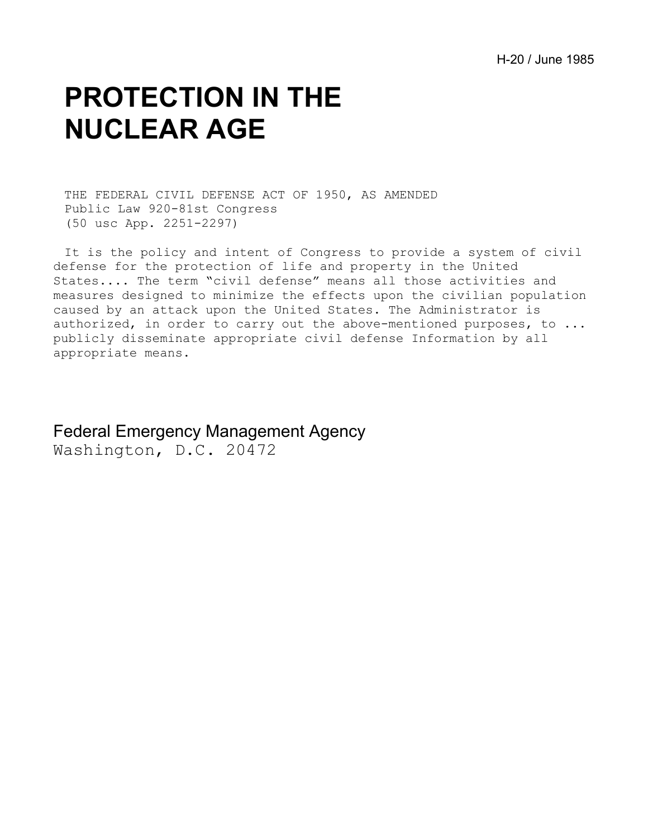# **PROTECTION IN THE NUCLEAR AGE**

THE FEDERAL CIVIL DEFENSE ACT OF 1950, AS AMENDED Public Law 920-81st Congress (50 usc App. 2251-2297)

It is the policy and intent of Congress to provide a system of civil defense for the protection of life and property in the United States.... The term "civil defense" means all those activities and measures designed to minimize the effects upon the civilian population caused by an attack upon the United States. The Administrator is authorized, in order to carry out the above-mentioned purposes, to ... publicly disseminate appropriate civil defense Information by all appropriate means.

Federal Emergency Management Agency Washington, D.C. 20472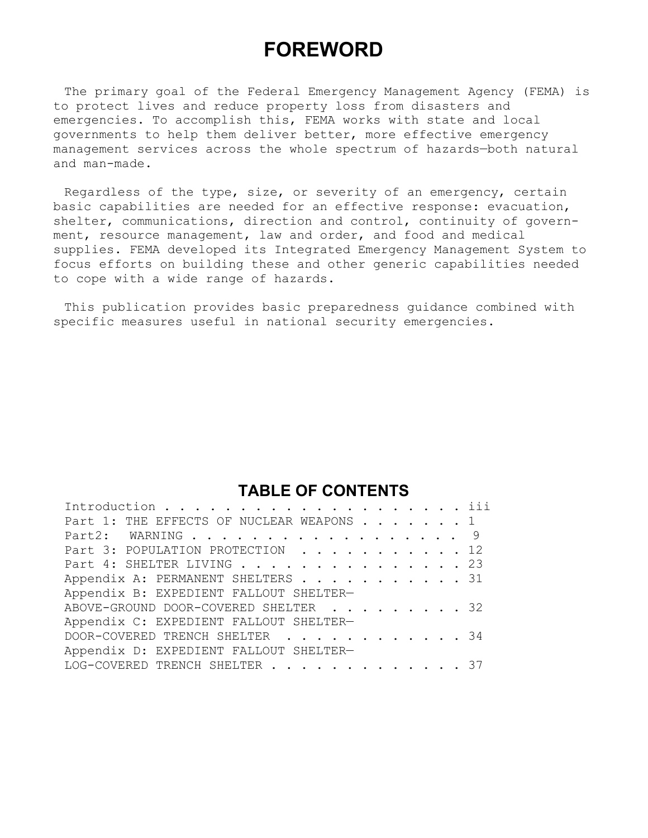# **FOREWORD**

The primary goal of the Federal Emergency Management Agency (FEMA) is to protect lives and reduce property loss from disasters and emergencies. To accomplish this, FEMA works with state and local governments to help them deliver better, more effective emergency management services across the whole spectrum of hazards—both natural and man-made.

Regardless of the type, size, or severity of an emergency, certain basic capabilities are needed for an effective response: evacuation, shelter, communications, direction and control, continuity of government, resource management, law and order, and food and medical supplies. FEMA developed its Integrated Emergency Management System to focus efforts on building these and other generic capabilities needed to cope with a wide range of hazards.

This publication provides basic preparedness guidance combined with specific measures useful in national security emergencies.

# **TABLE OF CONTENTS**

| Part 1: THE EFFECTS OF NUCLEAR WEAPONS 1 |  |
|------------------------------------------|--|
| Part2: WARNING 9                         |  |
| Part 3: POPULATION PROTECTION 12         |  |
| Part 4: SHELTER LIVING 23                |  |
| Appendix A: PERMANENT SHELTERS 31        |  |
| Appendix B: EXPEDIENT FALLOUT SHELTER-   |  |
| ABOVE-GROUND DOOR-COVERED SHELTER 32     |  |
| Appendix C: EXPEDIENT FALLOUT SHELTER-   |  |
| DOOR-COVERED TRENCH SHELTER 34           |  |
| Appendix D: EXPEDIENT FALLOUT SHELTER-   |  |
| LOG-COVERED TRENCH SHELTER 37            |  |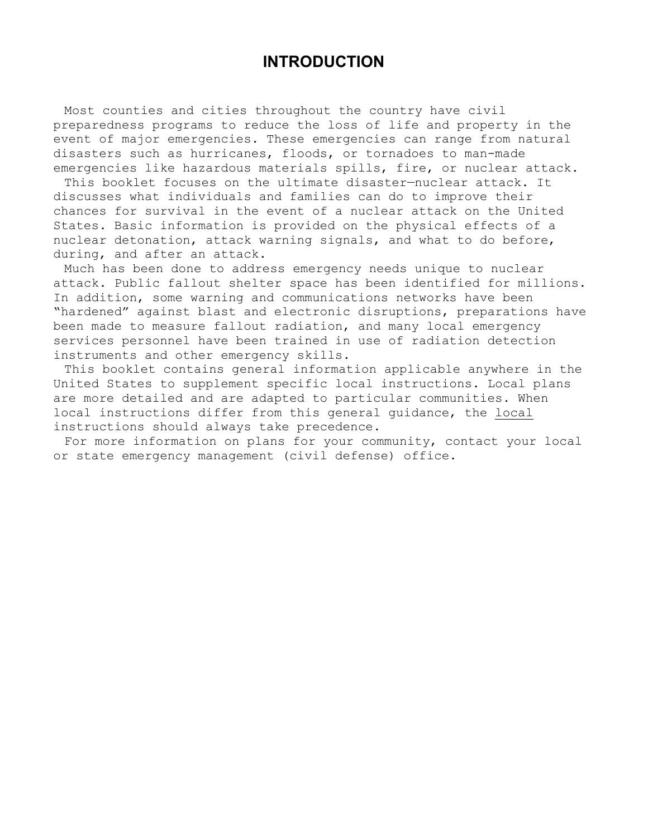# **INTRODUCTION**

Most counties and cities throughout the country have civil preparedness programs to reduce the loss of life and property in the event of major emergencies. These emergencies can range from natural disasters such as hurricanes, floods, or tornadoes to man-made emergencies like hazardous materials spills, fire, or nuclear attack.

This booklet focuses on the ultimate disaster—nuclear attack. It discusses what individuals and families can do to improve their chances for survival in the event of a nuclear attack on the United States. Basic information is provided on the physical effects of a nuclear detonation, attack warning signals, and what to do before, during, and after an attack.

Much has been done to address emergency needs unique to nuclear attack. Public fallout shelter space has been identified for millions. In addition, some warning and communications networks have been "hardened" against blast and electronic disruptions, preparations have been made to measure fallout radiation, and many local emergency services personnel have been trained in use of radiation detection instruments and other emergency skills.

This booklet contains general information applicable anywhere in the United States to supplement specific local instructions. Local plans are more detailed and are adapted to particular communities. When local instructions differ from this general guidance, the local instructions should always take precedence.

For more information on plans for your community, contact your local or state emergency management (civil defense) office.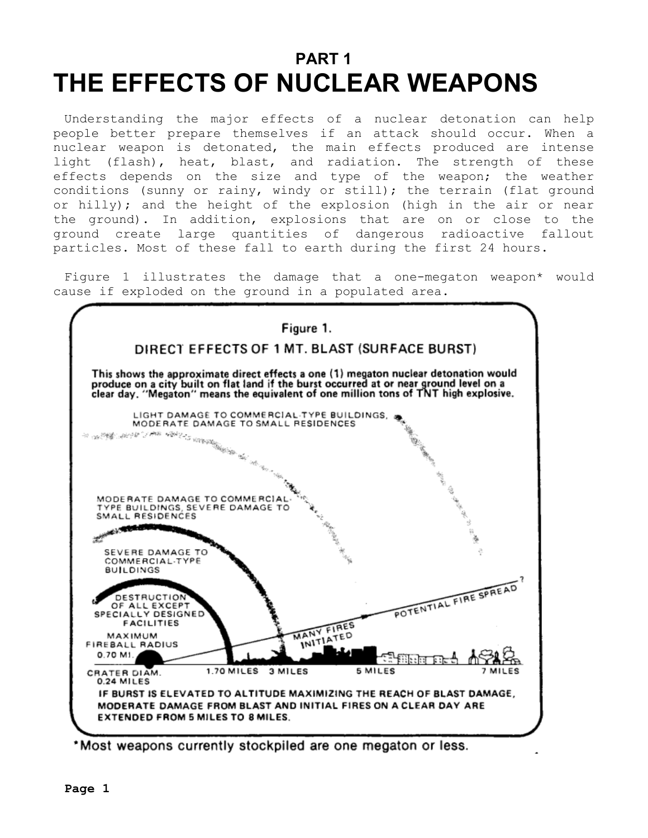# **PART 1 THE EFFECTS OF NUCLEAR WEAPONS**

Understanding the major effects of a nuclear detonation can help people better prepare themselves if an attack should occur. When a nuclear weapon is detonated, the main effects produced are intense light (flash), heat, blast, and radiation. The strength of these effects depends on the size and type of the weapon; the weather conditions (sunny or rainy, windy or still); the terrain (flat ground or hilly); and the height of the explosion (high in the air or near the ground). In addition, explosions that are on or close to the ground create large quantities of dangerous radioactive fallout particles. Most of these fall to earth during the first 24 hours.

Figure 1 illustrates the damage that a one-megaton weapon\* would cause if exploded on the ground in a populated area.



\*Most weapons currently stockpiled are one megaton or less.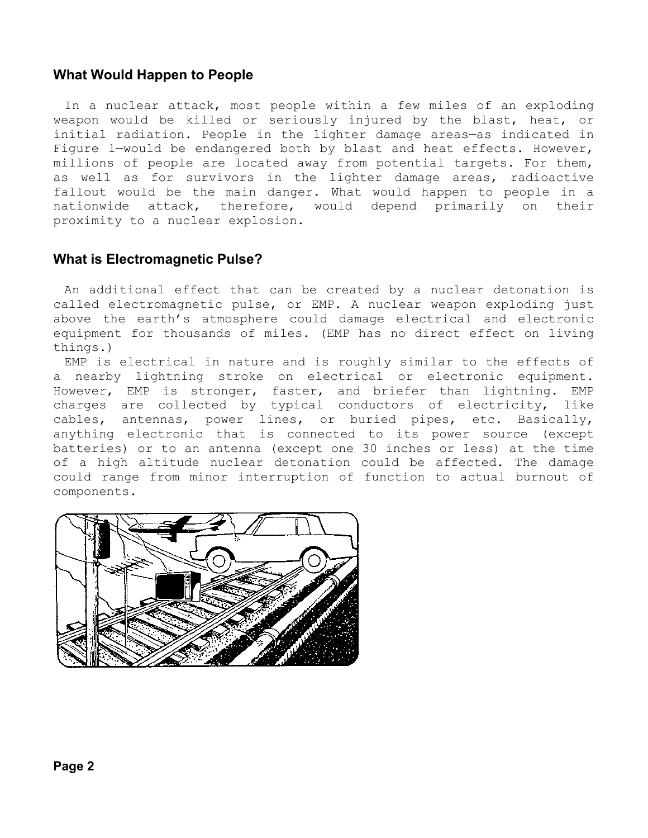# **What Would Happen to People**

In a nuclear attack, most people within a few miles of an exploding weapon would be killed or seriously injured by the blast, heat, or initial radiation. People in the lighter damage areas—as indicated in Figure 1—would be endangered both by blast and heat effects. However, millions of people are located away from potential targets. For them, as well as for survivors in the lighter damage areas, radioactive fallout would be the main danger. What would happen to people in a nationwide attack, therefore, would depend primarily on their proximity to a nuclear explosion.

### **What is Electromagnetic Pulse?**

An additional effect that can be created by a nuclear detonation is called electromagnetic pulse, or EMP. A nuclear weapon exploding just above the earth's atmosphere could damage electrical and electronic equipment for thousands of miles. (EMP has no direct effect on living things.)

EMP is electrical in nature and is roughly similar to the effects of a nearby lightning stroke on electrical or electronic equipment. However, EMP is stronger, faster, and briefer than lightning. EMP charges are collected by typical conductors of electricity, like cables, antennas, power lines, or buried pipes, etc. Basically, anything electronic that is connected to its power source (except batteries) or to an antenna (except one 30 inches or less) at the time of a high altitude nuclear detonation could be affected. The damage could range from minor interruption of function to actual burnout of components.

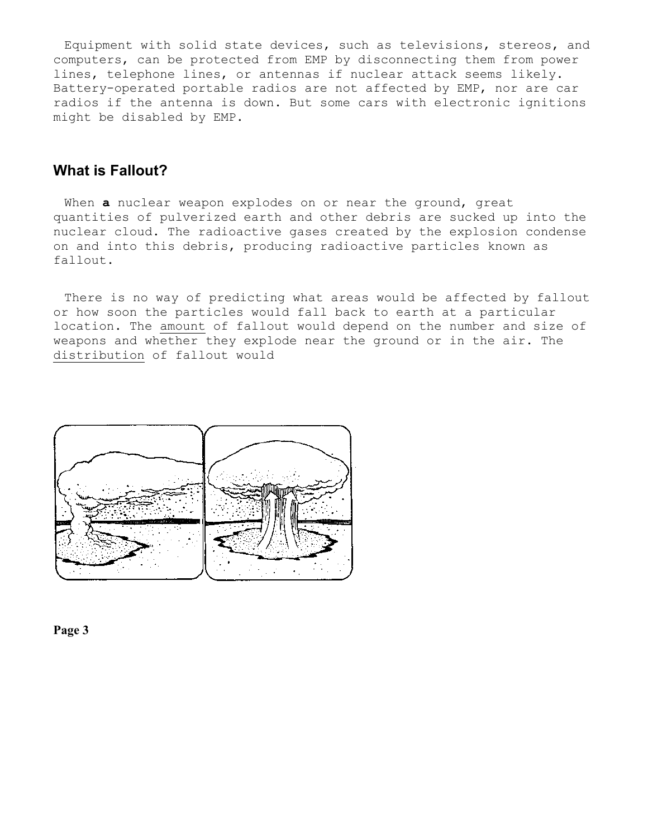Equipment with solid state devices, such as televisions, stereos, and computers, can be protected from EMP by disconnecting them from power lines, telephone lines, or antennas if nuclear attack seems likely. Battery-operated portable radios are not affected by EMP, nor are car radios if the antenna is down. But some cars with electronic ignitions might be disabled by EMP.

# **What is Fallout?**

When **a** nuclear weapon explodes on or near the ground, great quantities of pulverized earth and other debris are sucked up into the nuclear cloud. The radioactive gases created by the explosion condense on and into this debris, producing radioactive particles known as fallout.

There is no way of predicting what areas would be affected by fallout or how soon the particles would fall back to earth at a particular location. The amount of fallout would depend on the number and size of weapons and whether they explode near the ground or in the air. The distribution of fallout would



**Page 3**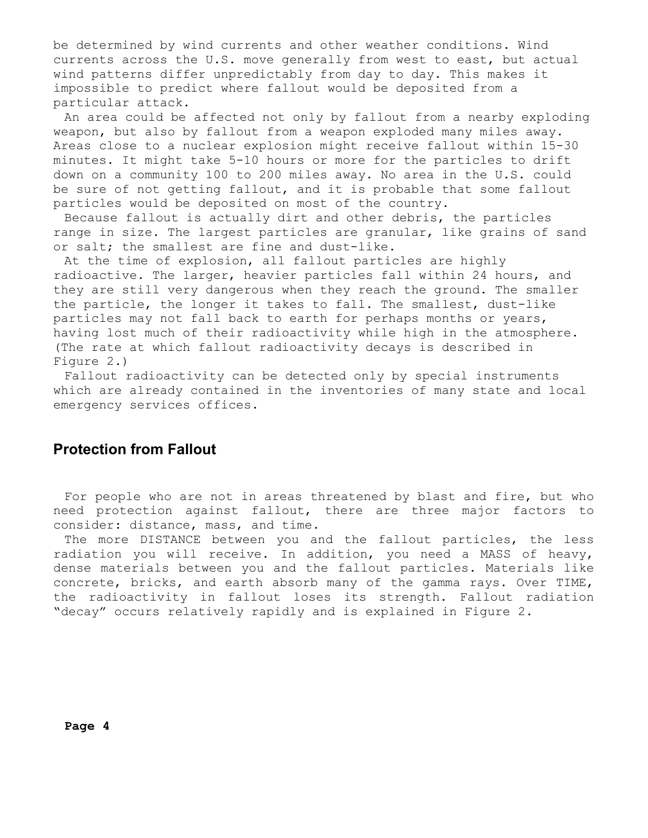be determined by wind currents and other weather conditions. Wind currents across the U.S. move generally from west to east, but actual wind patterns differ unpredictably from day to day. This makes it impossible to predict where fallout would be deposited from a particular attack.

An area could be affected not only by fallout from a nearby exploding weapon, but also by fallout from a weapon exploded many miles away. Areas close to a nuclear explosion might receive fallout within 15-30 minutes. It might take 5-10 hours or more for the particles to drift down on a community 100 to 200 miles away. No area in the U.S. could be sure of not getting fallout, and it is probable that some fallout particles would be deposited on most of the country.

Because fallout is actually dirt and other debris, the particles range in size. The largest particles are granular, like grains of sand or salt; the smallest are fine and dust-like.

At the time of explosion, all fallout particles are highly radioactive. The larger, heavier particles fall within 24 hours, and they are still very dangerous when they reach the ground. The smaller the particle, the longer it takes to fall. The smallest, dust-like particles may not fall back to earth for perhaps months or years, having lost much of their radioactivity while high in the atmosphere. (The rate at which fallout radioactivity decays is described in Figure 2.)

Fallout radioactivity can be detected only by special instruments which are already contained in the inventories of many state and local emergency services offices.

# **Protection from Fallout**

For people who are not in areas threatened by blast and fire, but who need protection against fallout, there are three major factors to consider: distance, mass, and time.

The more DISTANCE between you and the fallout particles, the less radiation you will receive. In addition, you need a MASS of heavy, dense materials between you and the fallout particles. Materials like concrete, bricks, and earth absorb many of the gamma rays. Over TIME, the radioactivity in fallout loses its strength. Fallout radiation "decay" occurs relatively rapidly and is explained in Figure 2.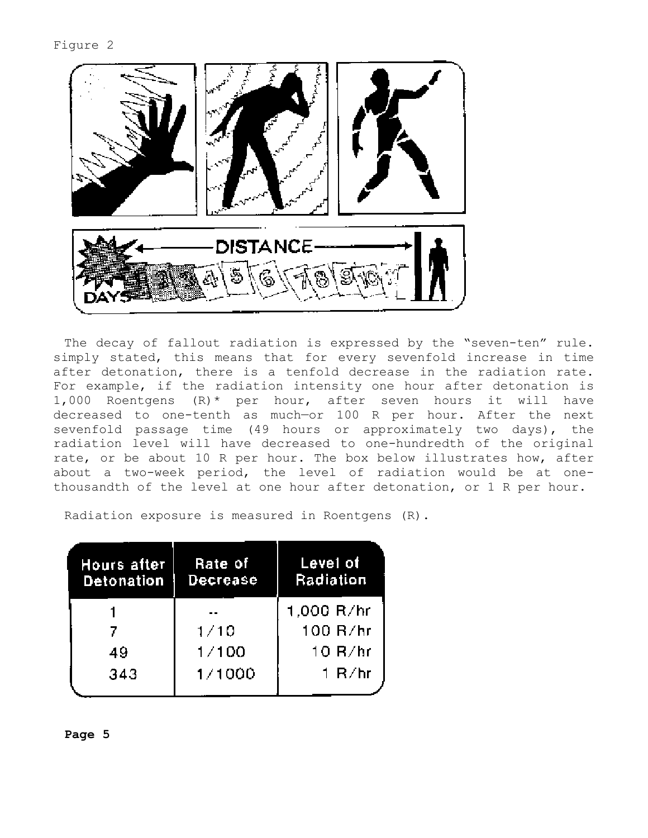

The decay of fallout radiation is expressed by the "seven-ten" rule. simply stated, this means that for every sevenfold increase in time after detonation, there is a tenfold decrease in the radiation rate. For example, if the radiation intensity one hour after detonation is 1,000 Roentgens (R)\* per hour, after seven hours it will have decreased to one-tenth as much—or 100 R per hour. After the next sevenfold passage time (49 hours or approximately two days), the radiation level will have decreased to one-hundredth of the original rate, or be about 10 R per hour. The box below illustrates how, after about a two-week period, the level of radiation would be at onethousandth of the level at one hour after detonation, or 1 R per hour.

Radiation exposure is measured in Roentgens (R).

| Hours after<br><b>Detonation</b> | Rate of<br>Decrease | Level of<br>Radiation |
|----------------------------------|---------------------|-----------------------|
|                                  |                     | 1,000 R/hr            |
|                                  | 1/10                | 100 R/hr              |
| 49                               | 1/100               | 10 R/hr               |
| 343                              | 1/1000              | 1 $R/hr$              |
|                                  |                     |                       |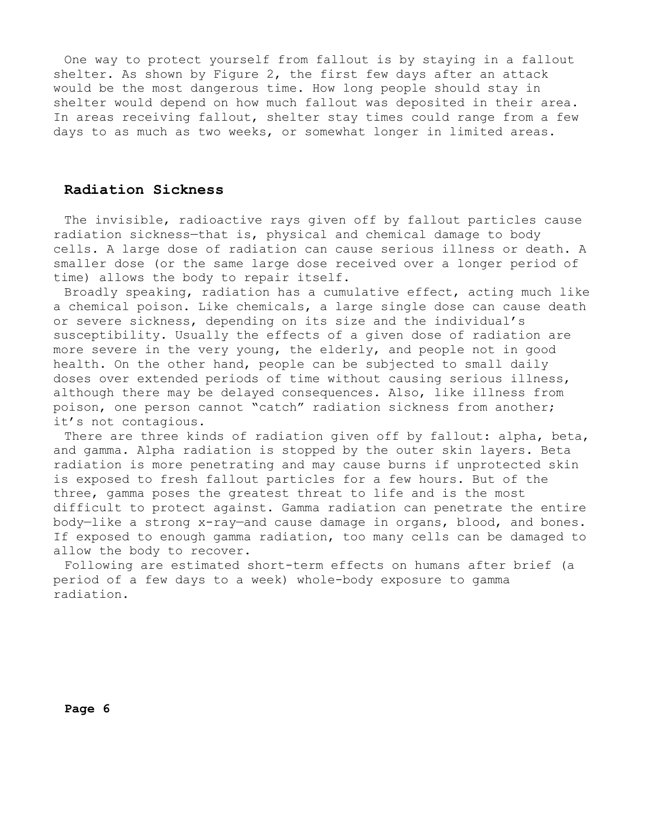One way to protect yourself from fallout is by staying in a fallout shelter. As shown by Figure 2, the first few days after an attack would be the most dangerous time. How long people should stay in shelter would depend on how much fallout was deposited in their area. In areas receiving fallout, shelter stay times could range from a few days to as much as two weeks, or somewhat longer in limited areas.

#### **Radiation Sickness**

The invisible, radioactive rays given off by fallout particles cause radiation sickness—that is, physical and chemical damage to body cells. A large dose of radiation can cause serious illness or death. A smaller dose (or the same large dose received over a longer period of time) allows the body to repair itself.

Broadly speaking, radiation has a cumulative effect, acting much like a chemical poison. Like chemicals, a large single dose can cause death or severe sickness, depending on its size and the individual's susceptibility. Usually the effects of a given dose of radiation are more severe in the very young, the elderly, and people not in good health. On the other hand, people can be subjected to small daily doses over extended periods of time without causing serious illness, although there may be delayed consequences. Also, like illness from poison, one person cannot "catch" radiation sickness from another; it's not contagious.

There are three kinds of radiation given off by fallout: alpha, beta, and gamma. Alpha radiation is stopped by the outer skin layers. Beta radiation is more penetrating and may cause burns if unprotected skin is exposed to fresh fallout particles for a few hours. But of the three, gamma poses the greatest threat to life and is the most difficult to protect against. Gamma radiation can penetrate the entire body—like a strong x-ray—and cause damage in organs, blood, and bones. If exposed to enough gamma radiation, too many cells can be damaged to allow the body to recover.

Following are estimated short-term effects on humans after brief (a period of a few days to a week) whole-body exposure to gamma radiation.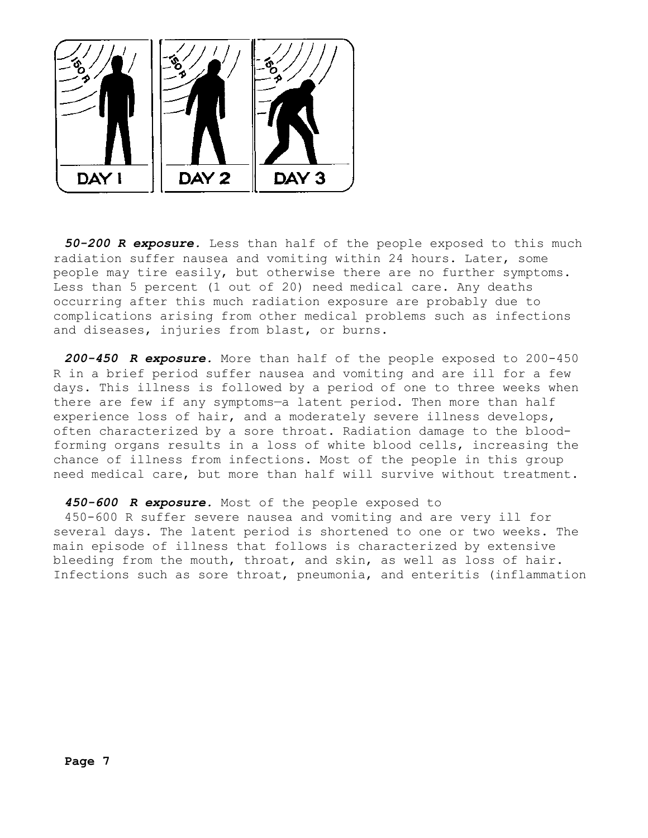

*50-200 R exposure.* Less than half of the people exposed to this much radiation suffer nausea and vomiting within 24 hours. Later, some people may tire easily, but otherwise there are no further symptoms. Less than 5 percent (1 out of 20) need medical care. Any deaths occurring after this much radiation exposure are probably due to complications arising from other medical problems such as infections and diseases, injuries from blast, or burns.

*200-450 R exposure.* More than half of the people exposed to 200-450 R in a brief period suffer nausea and vomiting and are ill for a few days. This illness is followed by a period of one to three weeks when there are few if any symptoms—a latent period. Then more than half experience loss of hair, and a moderately severe illness develops, often characterized by a sore throat. Radiation damage to the bloodforming organs results in a loss of white blood cells, increasing the chance of illness from infections. Most of the people in this group need medical care, but more than half will survive without treatment.

#### *450-600 R exposure.* Most of the people exposed to

450-600 R suffer severe nausea and vomiting and are very ill for several days. The latent period is shortened to one or two weeks. The main episode of illness that follows is characterized by extensive bleeding from the mouth, throat, and skin, as well as loss of hair. Infections such as sore throat, pneumonia, and enteritis (inflammation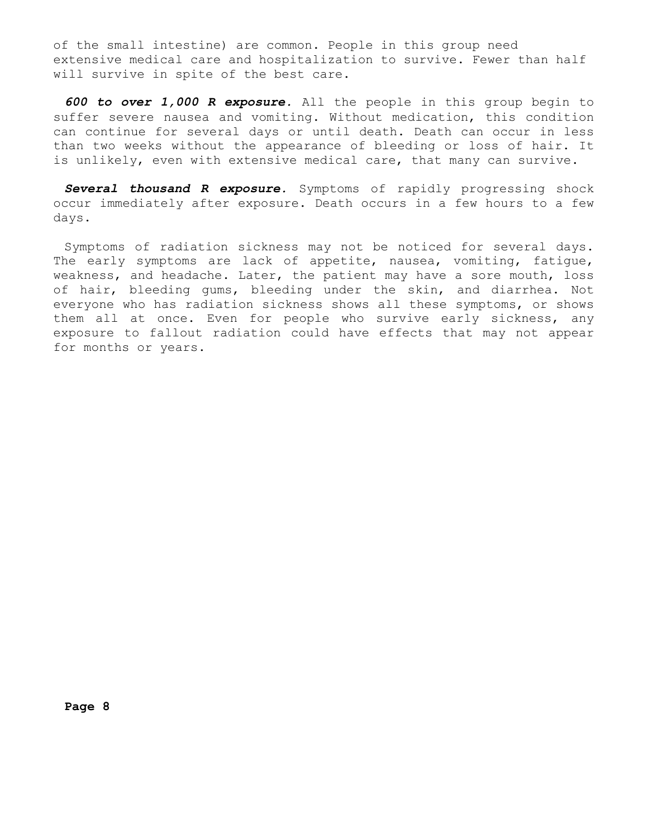of the small intestine) are common. People in this group need extensive medical care and hospitalization to survive. Fewer than half will survive in spite of the best care.

*600 to over 1,000 R exposure.* All the people in this group begin to suffer severe nausea and vomiting. Without medication, this condition can continue for several days or until death. Death can occur in less than two weeks without the appearance of bleeding or loss of hair. It is unlikely, even with extensive medical care, that many can survive.

*Several thousand R exposure.* Symptoms of rapidly progressing shock occur immediately after exposure. Death occurs in a few hours to a few days.

Symptoms of radiation sickness may not be noticed for several days. The early symptoms are lack of appetite, nausea, vomiting, fatigue, weakness, and headache. Later, the patient may have a sore mouth, loss of hair, bleeding gums, bleeding under the skin, and diarrhea. Not everyone who has radiation sickness shows all these symptoms, or shows them all at once. Even for people who survive early sickness, any exposure to fallout radiation could have effects that may not appear for months or years.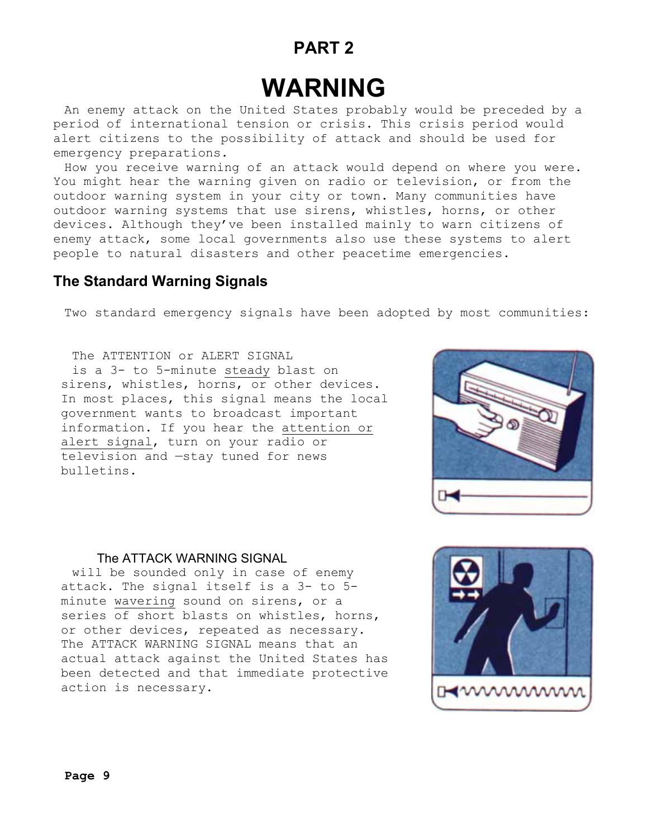# **PART 2**

# **WARNING**

An enemy attack on the United States probably would be preceded by a period of international tension or crisis. This crisis period would alert citizens to the possibility of attack and should be used for emergency preparations.

How you receive warning of an attack would depend on where you were. You might hear the warning given on radio or television, or from the outdoor warning system in your city or town. Many communities have outdoor warning systems that use sirens, whistles, horns, or other devices. Although they've been installed mainly to warn citizens of enemy attack, some local governments also use these systems to alert people to natural disasters and other peacetime emergencies.

# **The Standard Warning Signals**

Two standard emergency signals have been adopted by most communities:

The ATTENTION or ALERT SIGNAL is a 3- to 5-minute steady blast on sirens, whistles, horns, or other devices. In most places, this signal means the local government wants to broadcast important information. If you hear the attention or alert signal, turn on your radio or television and —stay tuned for news bulletins.



#### The ATTACK WARNING SIGNAL

will be sounded only in case of enemy attack. The signal itself is a 3- to 5 minute wavering sound on sirens, or a series of short blasts on whistles, horns, or other devices, repeated as necessary. The ATTACK WARNING SIGNAL means that an actual attack against the United States has been detected and that immediate protective action is necessary.

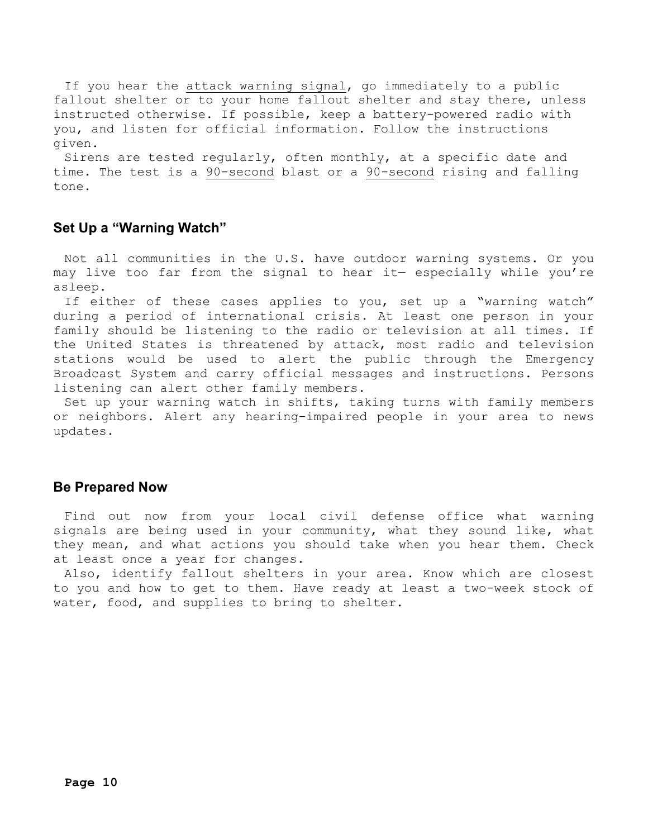If you hear the attack warning signal, go immediately to a public fallout shelter or to your home fallout shelter and stay there, unless instructed otherwise. If possible, keep a battery-powered radio with you, and listen for official information. Follow the instructions given.

Sirens are tested regularly, often monthly, at a specific date and time. The test is a 90-second blast or a 90-second rising and falling tone.

### **Set Up a "Warning Watch"**

Not all communities in the U.S. have outdoor warning systems. Or you may live too far from the signal to hear it— especially while you're asleep.

If either of these cases applies to you, set up a "warning watch" during a period of international crisis. At least one person in your family should be listening to the radio or television at all times. If the United States is threatened by attack, most radio and television stations would be used to alert the public through the Emergency Broadcast System and carry official messages and instructions. Persons listening can alert other family members.

Set up your warning watch in shifts, taking turns with family members or neighbors. Alert any hearing-impaired people in your area to news updates.

#### **Be Prepared Now**

Find out now from your local civil defense office what warning signals are being used in your community, what they sound like, what they mean, and what actions you should take when you hear them. Check at least once a year for changes.

Also, identify fallout shelters in your area. Know which are closest to you and how to get to them. Have ready at least a two-week stock of water, food, and supplies to bring to shelter.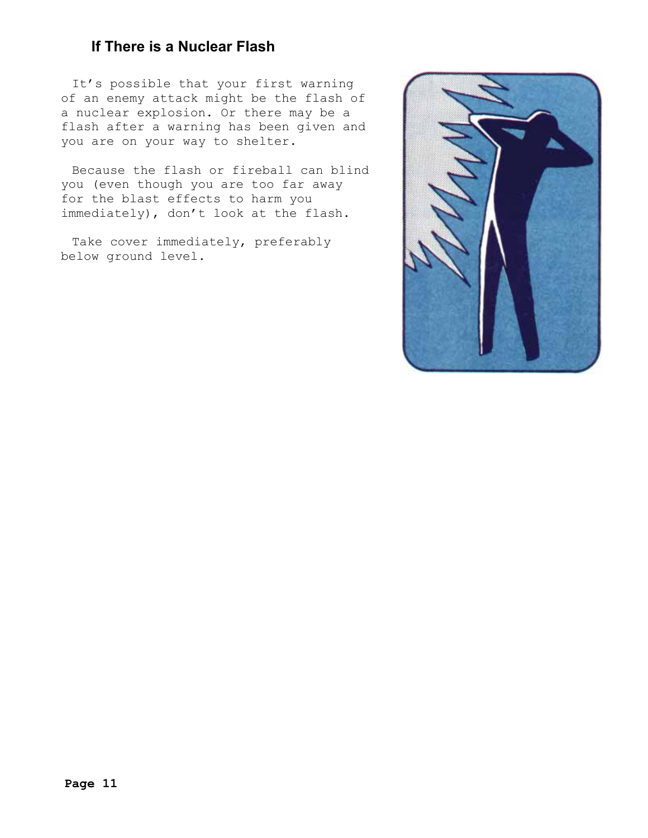# **If There is a Nuclear Flash**

It's possible that your first warning of an enemy attack might be the flash of a nuclear explosion. Or there may be a flash after a warning has been given and you are on your way to shelter.

Because the flash or fireball can blind you (even though you are too far away for the blast effects to harm you immediately), don't look at the flash.

Take cover immediately, preferably below ground level.

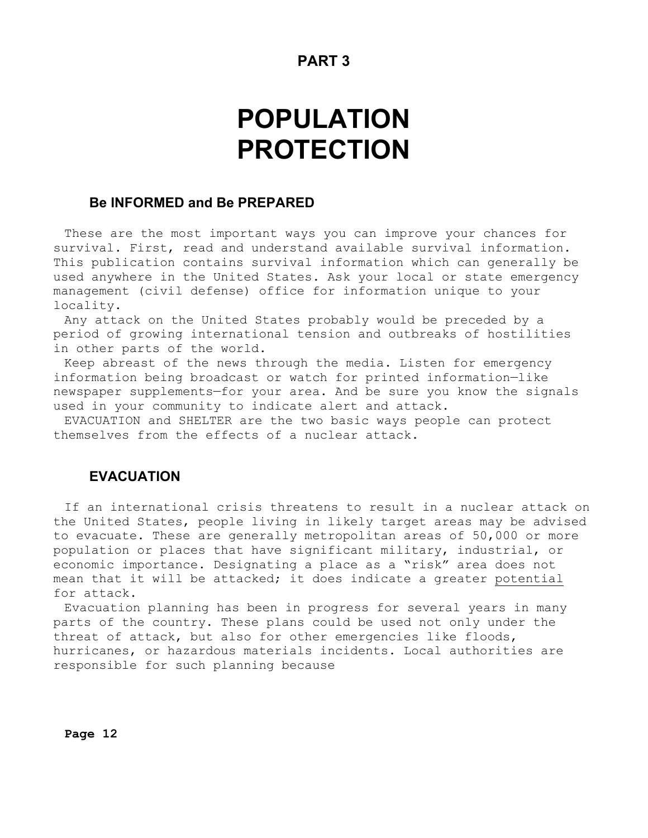# **PART 3**

# **POPULATION PROTECTION**

### **Be INFORMED and Be PREPARED**

These are the most important ways you can improve your chances for survival. First, read and understand available survival information. This publication contains survival information which can generally be used anywhere in the United States. Ask your local or state emergency management (civil defense) office for information unique to your locality.

Any attack on the United States probably would be preceded by a period of growing international tension and outbreaks of hostilities in other parts of the world.

Keep abreast of the news through the media. Listen for emergency information being broadcast or watch for printed information—like newspaper supplements—for your area. And be sure you know the signals used in your community to indicate alert and attack.

EVACUATION and SHELTER are the two basic ways people can protect themselves from the effects of a nuclear attack.

### **EVACUATION**

If an international crisis threatens to result in a nuclear attack on the United States, people living in likely target areas may be advised to evacuate. These are generally metropolitan areas of 50,000 or more population or places that have significant military, industrial, or economic importance. Designating a place as a "risk" area does not mean that it will be attacked; it does indicate a greater potential for attack.

Evacuation planning has been in progress for several years in many parts of the country. These plans could be used not only under the threat of attack, but also for other emergencies like floods, hurricanes, or hazardous materials incidents. Local authorities are responsible for such planning because

**Page 12**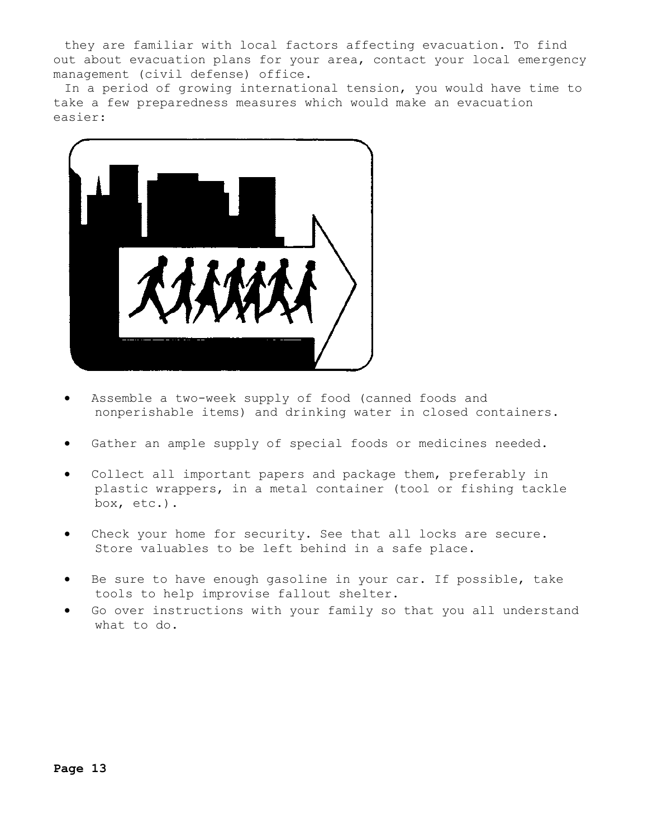they are familiar with local factors affecting evacuation. To find out about evacuation plans for your area, contact your local emergency management (civil defense) office.

In a period of growing international tension, you would have time to take a few preparedness measures which would make an evacuation easier:



- Assemble a two-week supply of food (canned foods and nonperishable items) and drinking water in closed containers.
- Gather an ample supply of special foods or medicines needed.
- Collect all important papers and package them, preferably in plastic wrappers, in a metal container (tool or fishing tackle box, etc.).
- Check your home for security. See that all locks are secure. Store valuables to be left behind in a safe place.
- Be sure to have enough gasoline in your car. If possible, take tools to help improvise fallout shelter.
- Go over instructions with your family so that you all understand what to do.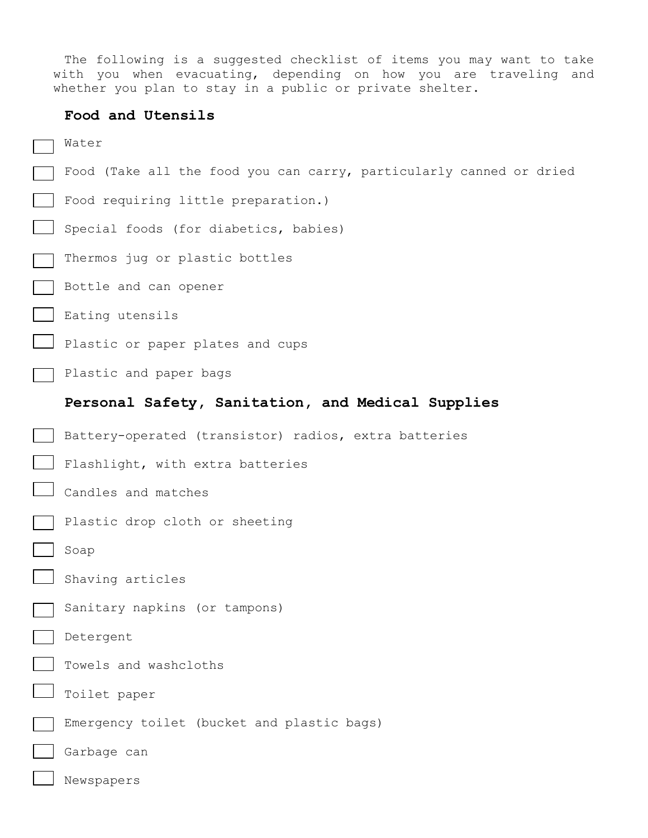The following is a suggested checklist of items you may want to take with you when evacuating, depending on how you are traveling and whether you plan to stay in a public or private shelter.

# **Food and Utensils**

| Water                                                               |
|---------------------------------------------------------------------|
| Food (Take all the food you can carry, particularly canned or dried |
| Food requiring little preparation.)                                 |
| Special foods (for diabetics, babies)                               |
| Thermos jug or plastic bottles                                      |
| Bottle and can opener                                               |
| Eating utensils                                                     |
| Plastic or paper plates and cups                                    |
| Plastic and paper bags                                              |
| Personal Safety, Sanitation, and Medical Supplies                   |
| Battery-operated (transistor) radios, extra batteries               |
| Flashlight, with extra batteries                                    |
| Candles and matches                                                 |
| Plastic drop cloth or sheeting                                      |
| Soap                                                                |
| Shaving articles                                                    |
| Sanitary napkins (or tampons)                                       |
| Detergent                                                           |
| Towels and washcloths                                               |
| Toilet paper                                                        |
| Emergency toilet (bucket and plastic bags)                          |
| Garbage can                                                         |
| Newspapers                                                          |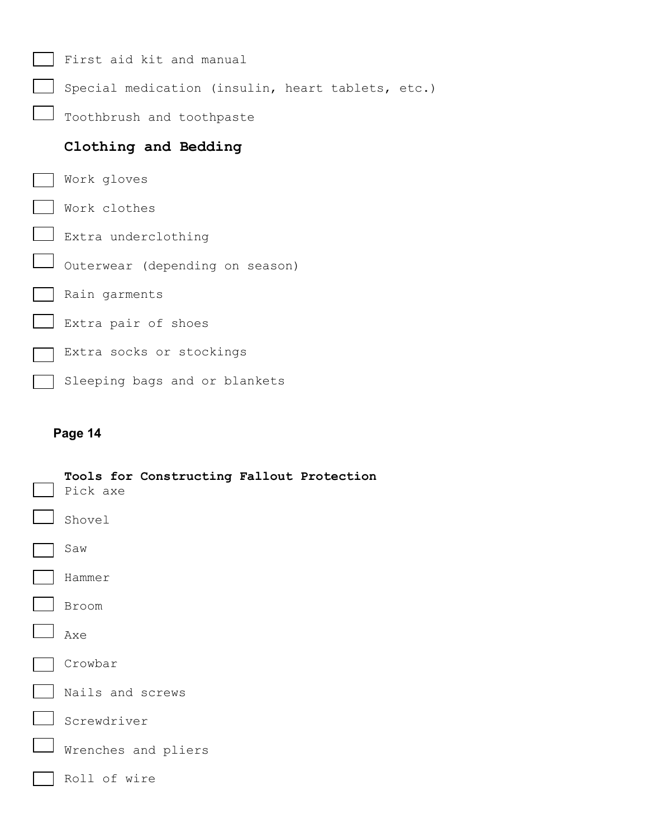| First aid kit and manual                          |
|---------------------------------------------------|
| Special medication (insulin, heart tablets, etc.) |
| Toothbrush and toothpaste                         |
| Clothing and Bedding                              |
| Work gloves                                       |
| Work clothes                                      |
| Extra underclothing                               |
| Outerwear (depending on season)                   |
| Rain garments                                     |
| Extra pair of shoes                               |
| Extra socks or stockings                          |
| Sleeping bags and or blankets                     |

# **Page 14**

| Pick axe            | Tools for Constructing Fallout Protection |  |
|---------------------|-------------------------------------------|--|
| Shovel              |                                           |  |
| Saw                 |                                           |  |
| Hammer              |                                           |  |
| Broom               |                                           |  |
| Axe                 |                                           |  |
| Crowbar             |                                           |  |
| Nails and screws    |                                           |  |
| Screwdriver         |                                           |  |
| Wrenches and pliers |                                           |  |
| Roll of wire        |                                           |  |
|                     |                                           |  |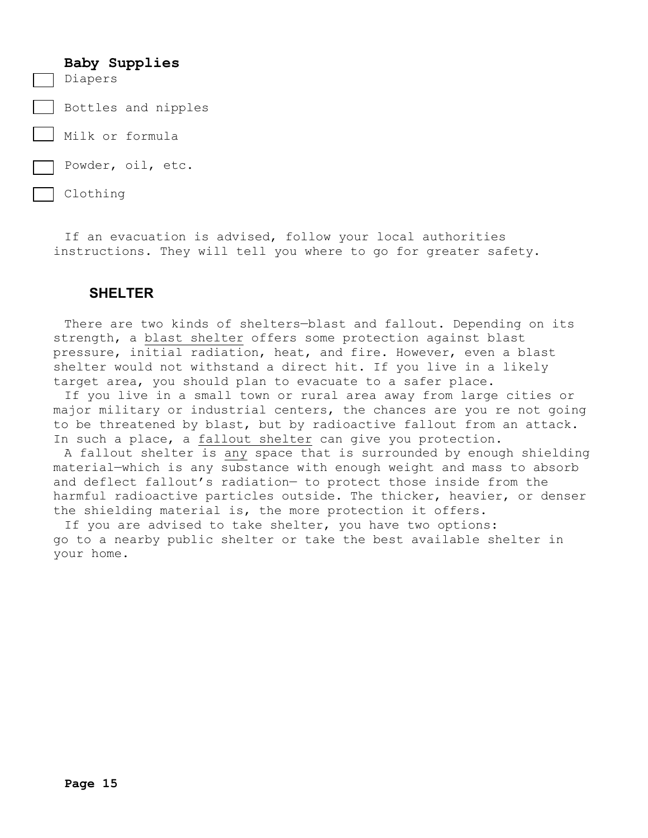| <b>Baby Supplies</b> |
|----------------------|
| Diapers              |
| Bottles and nipples  |
| Milk or formula      |
| Powder, oil, etc.    |
| Clothing             |

If an evacuation is advised, follow your local authorities instructions. They will tell you where to go for greater safety.

### **SHELTER**

There are two kinds of shelters—blast and fallout. Depending on its strength, a blast shelter offers some protection against blast pressure, initial radiation, heat, and fire. However, even a blast shelter would not withstand a direct hit. If you live in a likely target area, you should plan to evacuate to a safer place.

If you live in a small town or rural area away from large cities or major military or industrial centers, the chances are you re not going to be threatened by blast, but by radioactive fallout from an attack. In such a place, a fallout shelter can give you protection.

A fallout shelter is any space that is surrounded by enough shielding material—which is any substance with enough weight and mass to absorb and deflect fallout's radiation— to protect those inside from the harmful radioactive particles outside. The thicker, heavier, or denser the shielding material is, the more protection it offers.

If you are advised to take shelter, you have two options: go to a nearby public shelter or take the best available shelter in your home.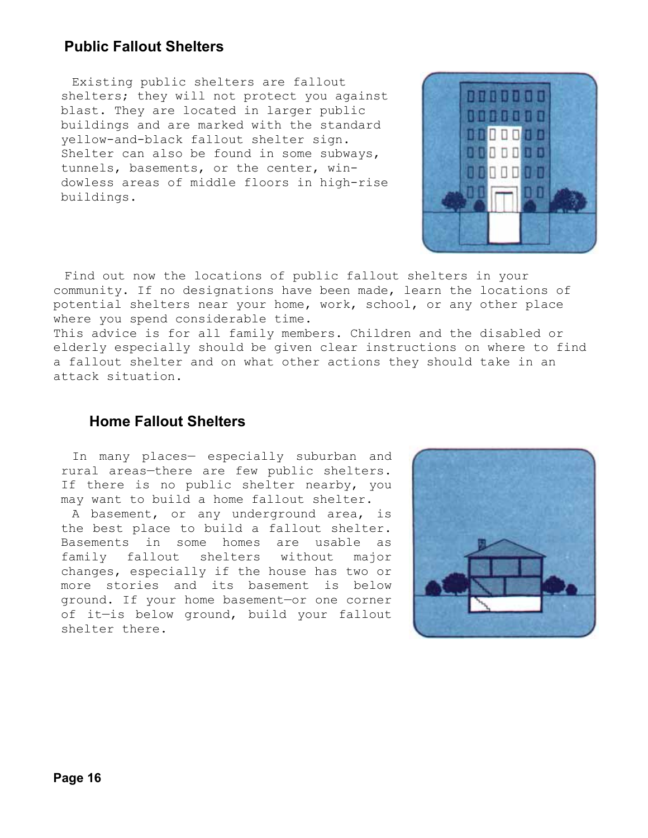# **Public Fallout Shelters**

Existing public shelters are fallout shelters; they will not protect you against blast. They are located in larger public buildings and are marked with the standard yellow-and-black fallout shelter sign. Shelter can also be found in some subways, tunnels, basements, or the center, windowless areas of middle floors in high-rise buildings.



Find out now the locations of public fallout shelters in your community. If no designations have been made, learn the locations of potential shelters near your home, work, school, or any other place where you spend considerable time.

This advice is for all family members. Children and the disabled or elderly especially should be given clear instructions on where to find a fallout shelter and on what other actions they should take in an attack situation.

# **Home Fallout Shelters**

In many places— especially suburban and rural areas—there are few public shelters. If there is no public shelter nearby, you may want to build a home fallout shelter.

A basement, or any underground area, is the best place to build a fallout shelter. Basements in some homes are usable as family fallout shelters without major changes, especially if the house has two or more stories and its basement is below ground. If your home basement—or one corner of it—is below ground, build your fallout shelter there.

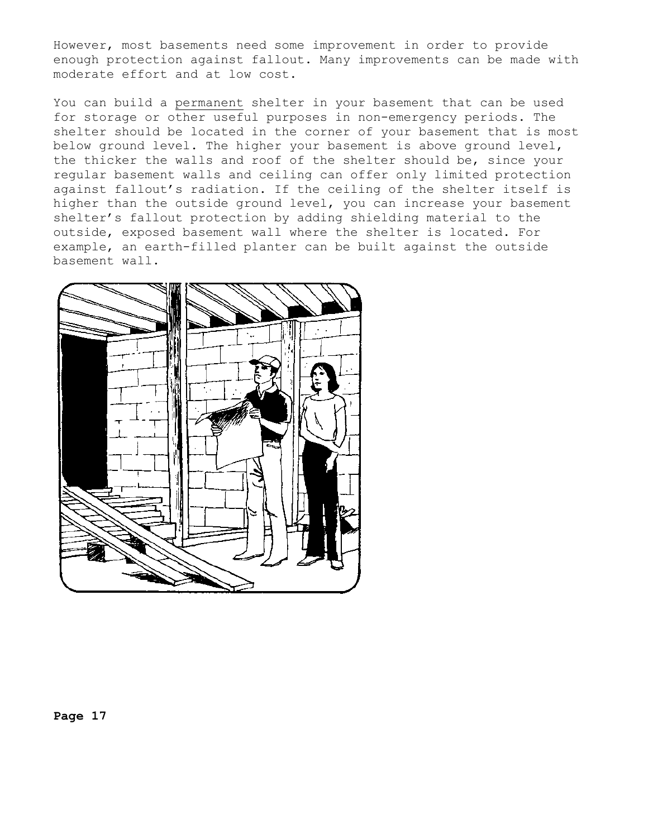However, most basements need some improvement in order to provide enough protection against fallout. Many improvements can be made with moderate effort and at low cost.

You can build a permanent shelter in your basement that can be used for storage or other useful purposes in non-emergency periods. The shelter should be located in the corner of your basement that is most below ground level. The higher your basement is above ground level, the thicker the walls and roof of the shelter should be, since your regular basement walls and ceiling can offer only limited protection against fallout's radiation. If the ceiling of the shelter itself is higher than the outside ground level, you can increase your basement shelter's fallout protection by adding shielding material to the outside, exposed basement wall where the shelter is located. For example, an earth-filled planter can be built against the outside basement wall.

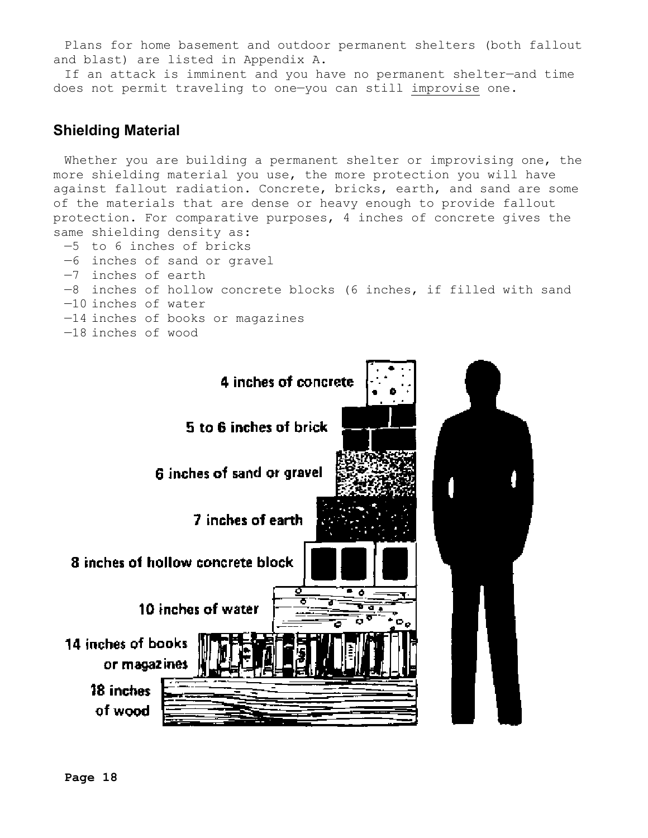Plans for home basement and outdoor permanent shelters (both fallout and blast) are listed in Appendix A.

If an attack is imminent and you have no permanent shelter—and time does not permit traveling to one—you can still improvise one.

# **Shielding Material**

Whether you are building a permanent shelter or improvising one, the more shielding material you use, the more protection you will have against fallout radiation. Concrete, bricks, earth, and sand are some of the materials that are dense or heavy enough to provide fallout protection. For comparative purposes, 4 inches of concrete gives the same shielding density as: —5 to 6 inches of bricks —6 inches of sand or gravel —7 inches of earth

- —8 inches of hollow concrete blocks (6 inches, if filled with sand
- —10 inches of water
- —14 inches of books or magazines
- —18 inches of wood

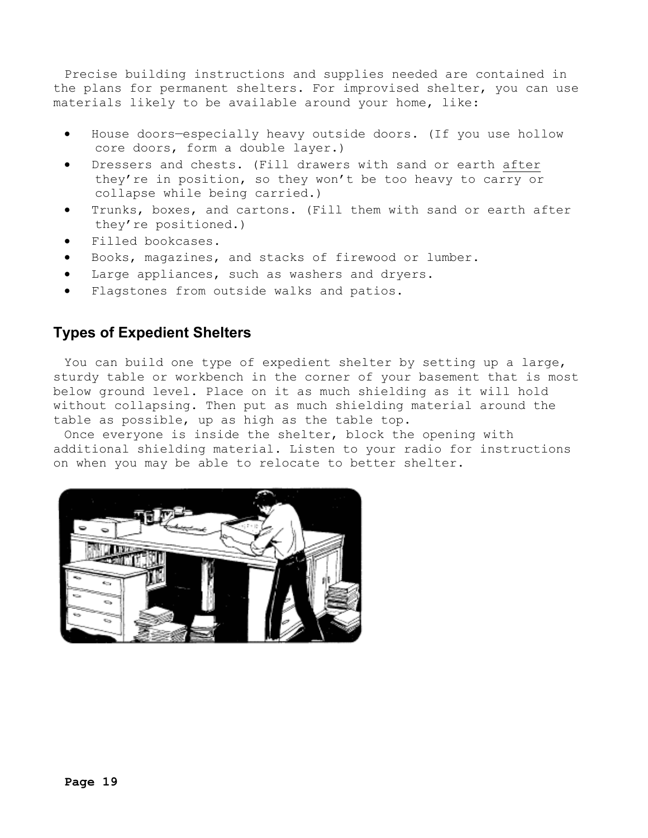Precise building instructions and supplies needed are contained in the plans for permanent shelters. For improvised shelter, you can use materials likely to be available around your home, like:

- House doors-especially heavy outside doors. (If you use hollow core doors, form a double layer.)
- Dressers and chests. (Fill drawers with sand or earth after they're in position, so they won't be too heavy to carry or collapse while being carried.)
- Trunks, boxes, and cartons. (Fill them with sand or earth after they're positioned.)
- Filled bookcases.
- Books, magazines, and stacks of firewood or lumber.
- Large appliances, such as washers and dryers.
- Flagstones from outside walks and patios.

# **Types of Expedient Shelters**

You can build one type of expedient shelter by setting up a large, sturdy table or workbench in the corner of your basement that is most below ground level. Place on it as much shielding as it will hold without collapsing. Then put as much shielding material around the table as possible, up as high as the table top.

Once everyone is inside the shelter, block the opening with additional shielding material. Listen to your radio for instructions on when you may be able to relocate to better shelter.

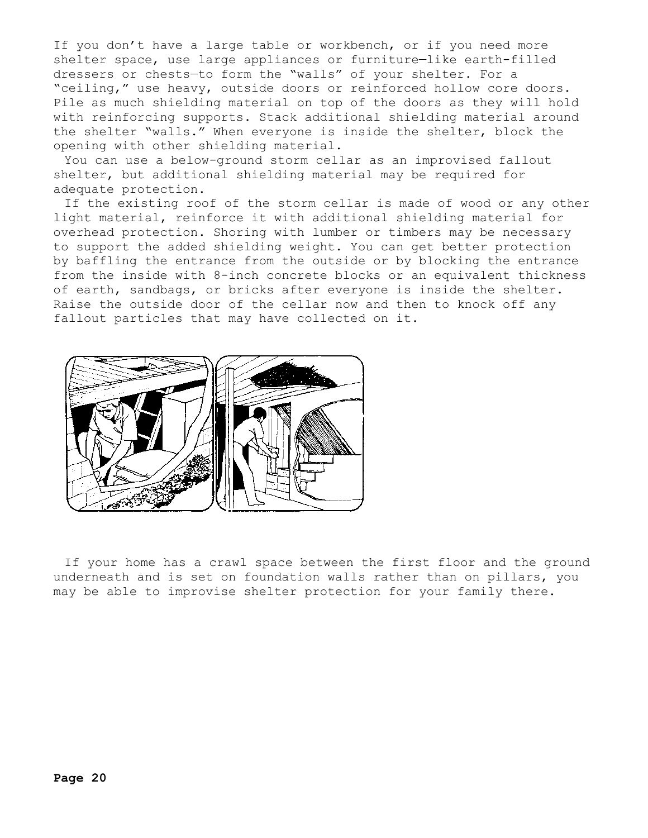If you don't have a large table or workbench, or if you need more shelter space, use large appliances or furniture—like earth-filled dressers or chests—to form the "walls" of your shelter. For a "ceiling," use heavy, outside doors or reinforced hollow core doors. Pile as much shielding material on top of the doors as they will hold with reinforcing supports. Stack additional shielding material around the shelter "walls." When everyone is inside the shelter, block the opening with other shielding material.

You can use a below-ground storm cellar as an improvised fallout shelter, but additional shielding material may be required for adequate protection.

If the existing roof of the storm cellar is made of wood or any other light material, reinforce it with additional shielding material for overhead protection. Shoring with lumber or timbers may be necessary to support the added shielding weight. You can get better protection by baffling the entrance from the outside or by blocking the entrance from the inside with 8-inch concrete blocks or an equivalent thickness of earth, sandbags, or bricks after everyone is inside the shelter. Raise the outside door of the cellar now and then to knock off any fallout particles that may have collected on it.



If your home has a crawl space between the first floor and the ground underneath and is set on foundation walls rather than on pillars, you may be able to improvise shelter protection for your family there.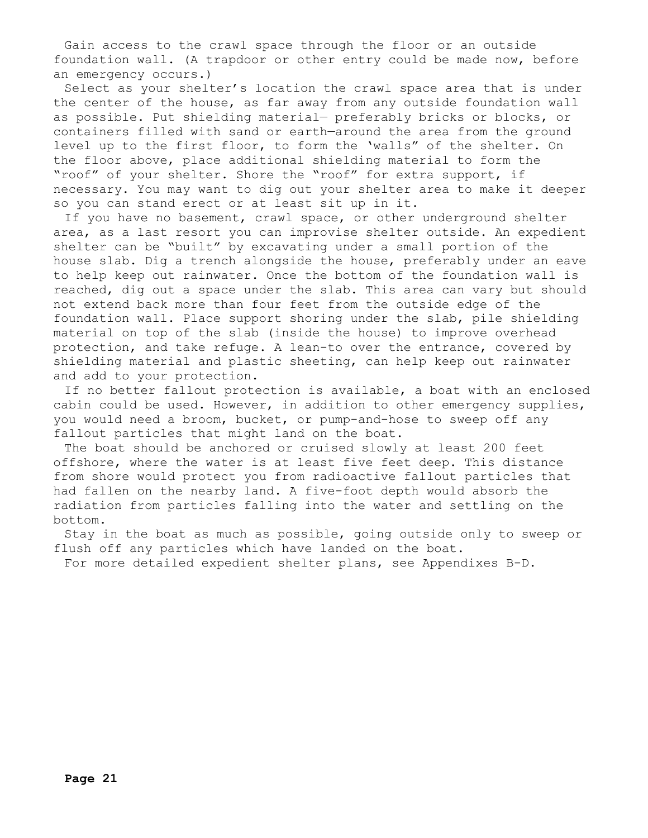Gain access to the crawl space through the floor or an outside foundation wall. (A trapdoor or other entry could be made now, before an emergency occurs.)

Select as your shelter's location the crawl space area that is under the center of the house, as far away from any outside foundation wall as possible. Put shielding material— preferably bricks or blocks, or containers filled with sand or earth—around the area from the ground level up to the first floor, to form the 'walls" of the shelter. On the floor above, place additional shielding material to form the "roof" of your shelter. Shore the "roof" for extra support, if necessary. You may want to dig out your shelter area to make it deeper so you can stand erect or at least sit up in it.

If you have no basement, crawl space, or other underground shelter area, as a last resort you can improvise shelter outside. An expedient shelter can be "built" by excavating under a small portion of the house slab. Dig a trench alongside the house, preferably under an eave to help keep out rainwater. Once the bottom of the foundation wall is reached, dig out a space under the slab. This area can vary but should not extend back more than four feet from the outside edge of the foundation wall. Place support shoring under the slab, pile shielding material on top of the slab (inside the house) to improve overhead protection, and take refuge. A lean-to over the entrance, covered by shielding material and plastic sheeting, can help keep out rainwater and add to your protection.

If no better fallout protection is available, a boat with an enclosed cabin could be used. However, in addition to other emergency supplies, you would need a broom, bucket, or pump-and-hose to sweep off any fallout particles that might land on the boat.

The boat should be anchored or cruised slowly at least 200 feet offshore, where the water is at least five feet deep. This distance from shore would protect you from radioactive fallout particles that had fallen on the nearby land. A five-foot depth would absorb the radiation from particles falling into the water and settling on the bottom.

Stay in the boat as much as possible, going outside only to sweep or flush off any particles which have landed on the boat.

For more detailed expedient shelter plans, see Appendixes B-D.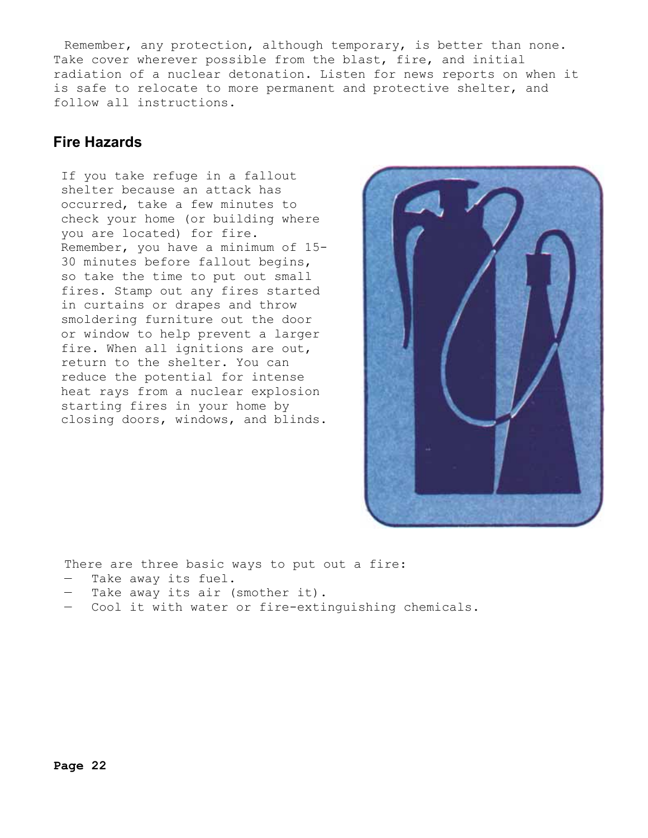Remember, any protection, although temporary, is better than none. Take cover wherever possible from the blast, fire, and initial radiation of a nuclear detonation. Listen for news reports on when it is safe to relocate to more permanent and protective shelter, and follow all instructions.

# **Fire Hazards**

If you take refuge in a fallout shelter because an attack has occurred, take a few minutes to check your home (or building where you are located) for fire. Remember, you have a minimum of 15- 30 minutes before fallout begins, so take the time to put out small fires. Stamp out any fires started in curtains or drapes and throw smoldering furniture out the door or window to help prevent a larger fire. When all ignitions are out, return to the shelter. You can reduce the potential for intense heat rays from a nuclear explosion starting fires in your home by closing doors, windows, and blinds.



There are three basic ways to put out a fire:

- Take away its fuel.
- Take away its air (smother it).
- Cool it with water or fire-extinguishing chemicals.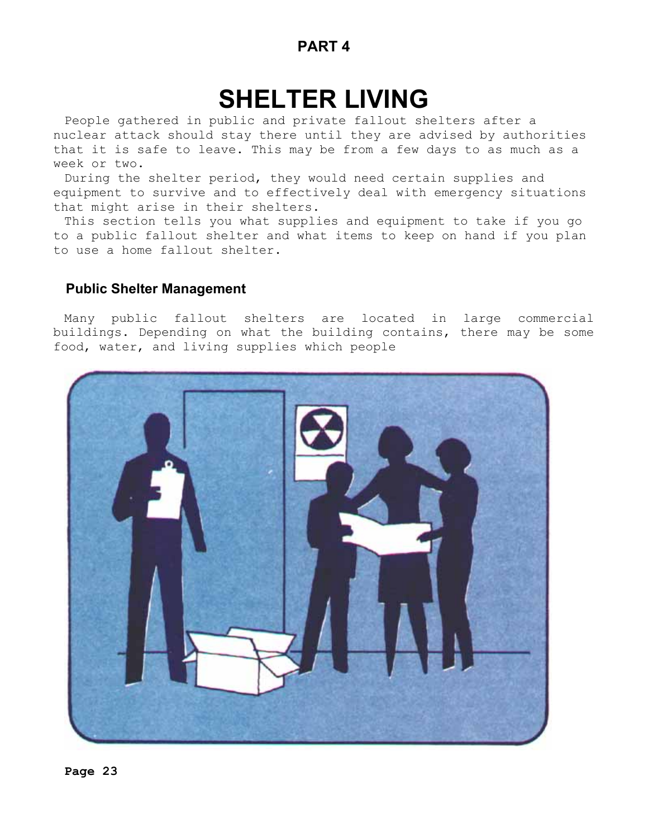# **PART 4**

# **SHELTER LIVING**

People gathered in public and private fallout shelters after a nuclear attack should stay there until they are advised by authorities that it is safe to leave. This may be from a few days to as much as a week or two.

During the shelter period, they would need certain supplies and equipment to survive and to effectively deal with emergency situations that might arise in their shelters.

This section tells you what supplies and equipment to take if you go to a public fallout shelter and what items to keep on hand if you plan to use a home fallout shelter.

#### **Public Shelter Management**

Many public fallout shelters are located in large commercial buildings. Depending on what the building contains, there may be some food, water, and living supplies which people

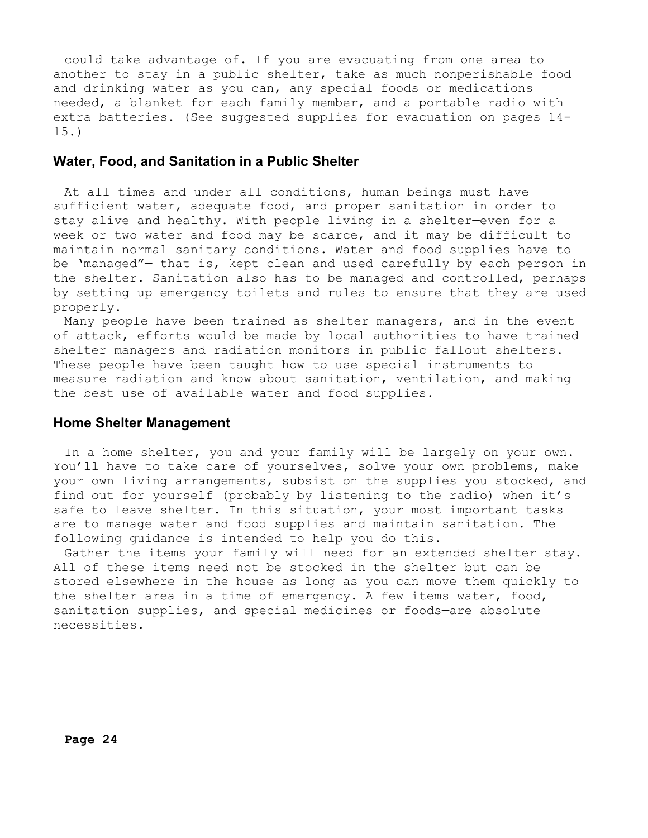could take advantage of. If you are evacuating from one area to another to stay in a public shelter, take as much nonperishable food and drinking water as you can, any special foods or medications needed, a blanket for each family member, and a portable radio with extra batteries. (See suggested supplies for evacuation on pages 14- 15.)

#### **Water, Food, and Sanitation in a Public Shelter**

At all times and under all conditions, human beings must have sufficient water, adequate food, and proper sanitation in order to stay alive and healthy. With people living in a shelter—even for a week or two—water and food may be scarce, and it may be difficult to maintain normal sanitary conditions. Water and food supplies have to be 'managed"— that is, kept clean and used carefully by each person in the shelter. Sanitation also has to be managed and controlled, perhaps by setting up emergency toilets and rules to ensure that they are used properly.

Many people have been trained as shelter managers, and in the event of attack, efforts would be made by local authorities to have trained shelter managers and radiation monitors in public fallout shelters. These people have been taught how to use special instruments to measure radiation and know about sanitation, ventilation, and making the best use of available water and food supplies.

#### **Home Shelter Management**

In a home shelter, you and your family will be largely on your own. You'll have to take care of yourselves, solve your own problems, make your own living arrangements, subsist on the supplies you stocked, and find out for yourself (probably by listening to the radio) when it's safe to leave shelter. In this situation, your most important tasks are to manage water and food supplies and maintain sanitation. The following guidance is intended to help you do this.

Gather the items your family will need for an extended shelter stay. All of these items need not be stocked in the shelter but can be stored elsewhere in the house as long as you can move them quickly to the shelter area in a time of emergency. A few items—water, food, sanitation supplies, and special medicines or foods—are absolute necessities.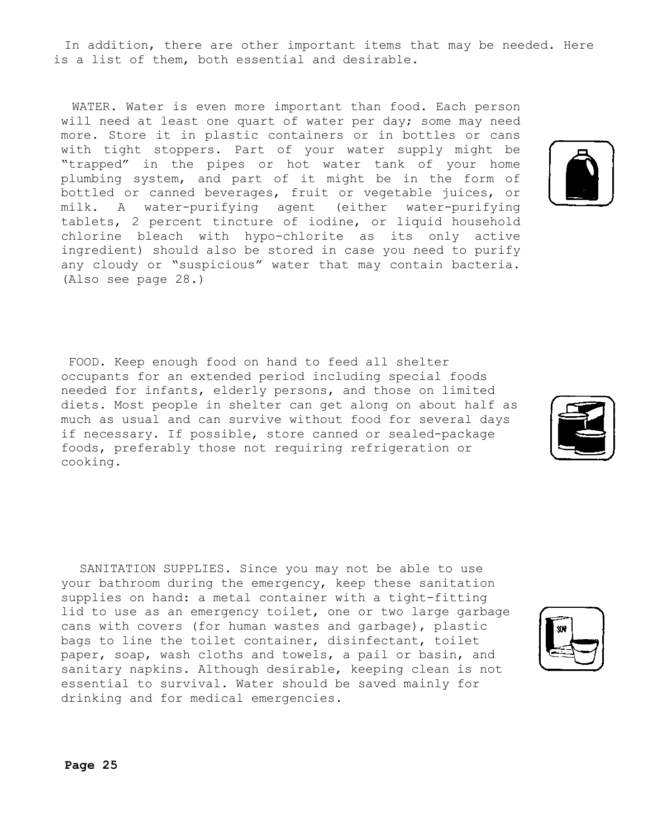**Page 25** 

 WATER. Water is even more important than food. Each person will need at least one quart of water per day; some may need more. Store it in plastic containers or in bottles or cans with tight stoppers. Part of your water supply might be "trapped" in the pipes or hot water tank of your home plumbing system, and part of it might be in the form of bottled or canned beverages, fruit or vegetable juices, or milk. A water-purifying agent (either water-purifying tablets, 2 percent tincture of iodine, or liquid household chlorine bleach with hypo-chlorite as its only active ingredient) should also be stored in case you need to purify any cloudy or "suspicious" water that may contain bacteria. (Also see page 28.)

 FOOD. Keep enough food on hand to feed all shelter occupants for an extended period including special foods needed for infants, elderly persons, and those on limited diets. Most people in shelter can get along on about half as much as usual and can survive without food for several days if necessary. If possible, store canned or sealed-package foods, preferably those not requiring refrigeration or cooking.

 SANITATION SUPPLIES. Since you may not be able to use your bathroom during the emergency, keep these sanitation supplies on hand: a metal container with a tight-fitting lid to use as an emergency toilet, one or two large garbage cans with covers (for human wastes and garbage), plastic bags to line the toilet container, disinfectant, toilet paper, soap, wash cloths and towels, a pail or basin, and sanitary napkins. Although desirable, keeping clean is not essential to survival. Water should be saved mainly for drinking and for medical emergencies.

In addition, there are other important items that may be needed. Here is a list of them, both essential and desirable.







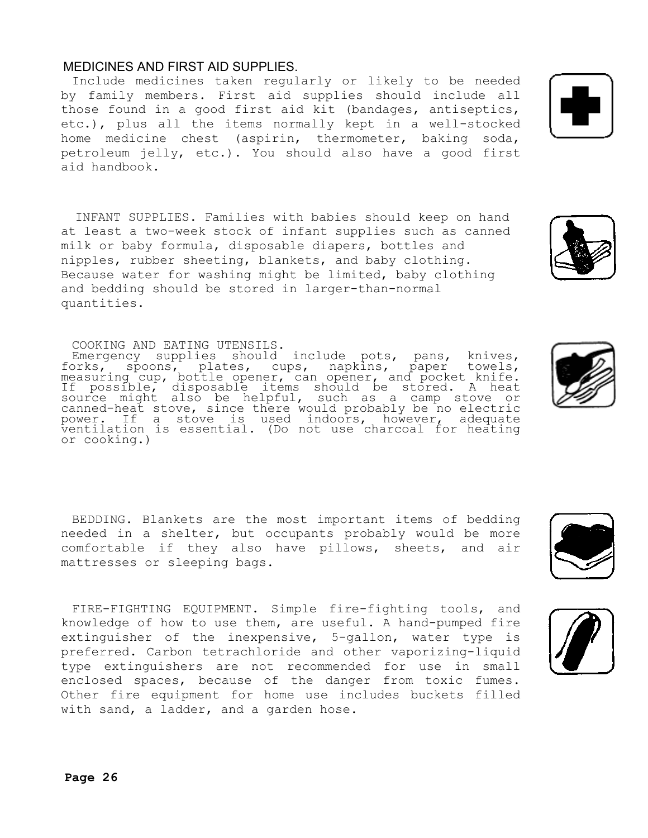### MEDICINES AND FIRST AID SUPPLIES.

Include medicines taken regularly or likely to be needed by family members. First aid supplies should include all those found in a good first aid kit (bandages, antiseptics, etc.), plus all the items normally kept in a well-stocked home medicine chest (aspirin, thermometer, baking soda, petroleum jelly, etc.). You should also have a good first aid handbook.

INFANT SUPPLIES. Families with babies should keep on hand at least a two-week stock of infant supplies such as canned milk or baby formula, disposable diapers, bottles and nipples, rubber sheeting, blankets, and baby clothing. Because water for washing might be limited, baby clothing and bedding should be stored in larger-than-normal quantities.

### COOKING AND EATING UTENSILS.

Emergency supplies should include pots, pans, knives, forks, spoons, plates, cups, napkins, paper towels, measuring cup, bottle opener, can opener, and pocket knife. If possible, disposable items should be stored. A heat source might also be helpful, such as a camp stove or canned-heat stove, since there would probably be no electric power. If a stove is used indoors, however, adequate ventilation is essential. (Do not use charcoal for heating or cooking.)

BEDDING. Blankets are the most important items of bedding needed in a shelter, but occupants probably would be more comfortable if they also have pillows, sheets, and air mattresses or sleeping bags.

FIRE-FIGHTING EQUIPMENT. Simple fire-fighting tools, and knowledge of how to use them, are useful. A hand-pumped fire extinguisher of the inexpensive, 5-gallon, water type is preferred. Carbon tetrachloride and other vaporizing-liquid type extinguishers are not recommended for use in small enclosed spaces, because of the danger from toxic fumes. Other fire equipment for home use includes buckets filled with sand, a ladder, and a garden hose.







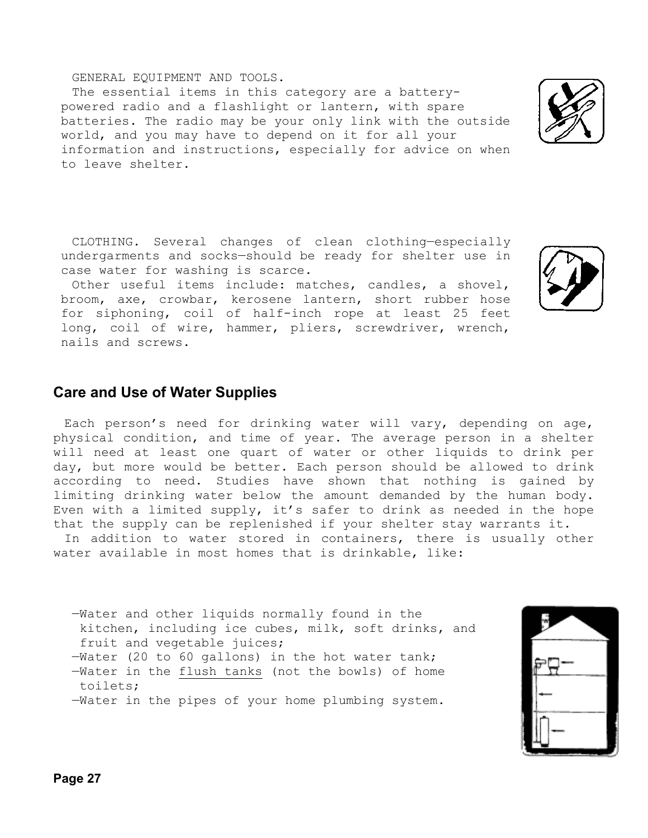GENERAL EQUIPMENT AND TOOLS.

The essential items in this category are a batterypowered radio and a flashlight or lantern, with spare batteries. The radio may be your only link with the outside world, and you may have to depend on it for all your information and instructions, especially for advice on when to leave shelter.



CLOTHING. Several changes of clean clothing—especially undergarments and socks—should be ready for shelter use in case water for washing is scarce.

Other useful items include: matches, candles, a shovel, broom, axe, crowbar, kerosene lantern, short rubber hose for siphoning, coil of half-inch rope at least 25 feet long, coil of wire, hammer, pliers, screwdriver, wrench, nails and screws.

# **Care and Use of Water Supplies**

Each person's need for drinking water will vary, depending on age, physical condition, and time of year. The average person in a shelter will need at least one quart of water or other liquids to drink per day, but more would be better. Each person should be allowed to drink according to need. Studies have shown that nothing is gained by limiting drinking water below the amount demanded by the human body. Even with a limited supply, it's safer to drink as needed in the hope that the supply can be replenished if your shelter stay warrants it. In addition to water stored in containers, there is usually other

water available in most homes that is drinkable, like:

—Water and other liquids normally found in the kitchen, including ice cubes, milk, soft drinks, and fruit and vegetable juices; —Water (20 to 60 gallons) in the hot water tank; —Water in the flush tanks (not the bowls) of home toilets; —Water in the pipes of your home plumbing system.



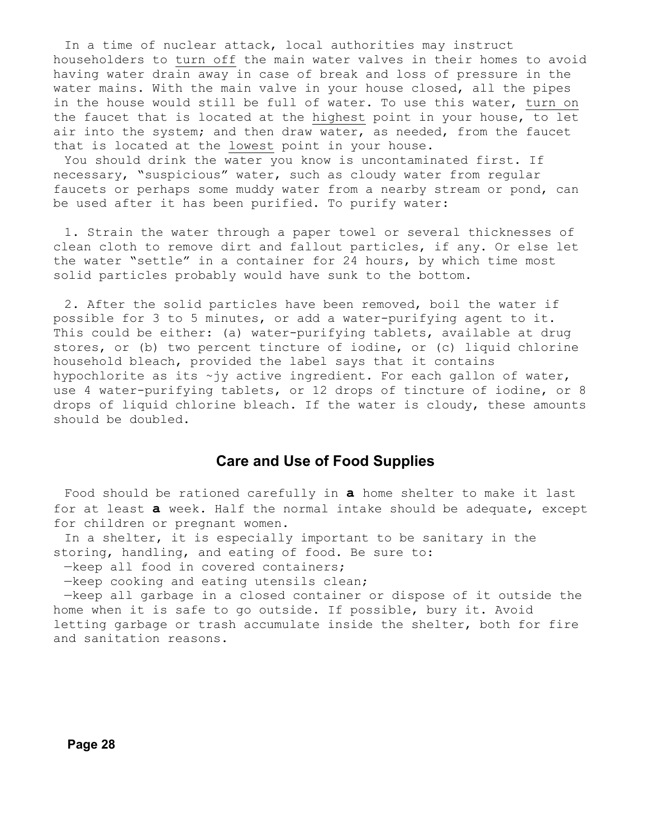In a time of nuclear attack, local authorities may instruct householders to turn off the main water valves in their homes to avoid having water drain away in case of break and loss of pressure in the water mains. With the main valve in your house closed, all the pipes in the house would still be full of water. To use this water, turn on the faucet that is located at the highest point in your house, to let air into the system; and then draw water, as needed, from the faucet that is located at the lowest point in your house.

You should drink the water you know is uncontaminated first. If necessary, "suspicious" water, such as cloudy water from regular faucets or perhaps some muddy water from a nearby stream or pond, can be used after it has been purified. To purify water:

1. Strain the water through a paper towel or several thicknesses of clean cloth to remove dirt and fallout particles, if any. Or else let the water "settle" in a container for 24 hours, by which time most solid particles probably would have sunk to the bottom.

2. After the solid particles have been removed, boil the water if possible for 3 to 5 minutes, or add a water-purifying agent to it. This could be either: (a) water-purifying tablets, available at drug stores, or (b) two percent tincture of iodine, or (c) liquid chlorine household bleach, provided the label says that it contains hypochlorite as its ~jy active ingredient. For each gallon of water, use 4 water-purifying tablets, or 12 drops of tincture of iodine, or 8 drops of liquid chlorine bleach. If the water is cloudy, these amounts should be doubled.

# **Care and Use of Food Supplies**

Food should be rationed carefully in **a** home shelter to make it last for at least **a** week. Half the normal intake should be adequate, except for children or pregnant women.

In a shelter, it is especially important to be sanitary in the storing, handling, and eating of food. Be sure to:

—keep all food in covered containers;

—keep cooking and eating utensils clean;

—keep all garbage in a closed container or dispose of it outside the home when it is safe to go outside. If possible, bury it. Avoid letting garbage or trash accumulate inside the shelter, both for fire and sanitation reasons.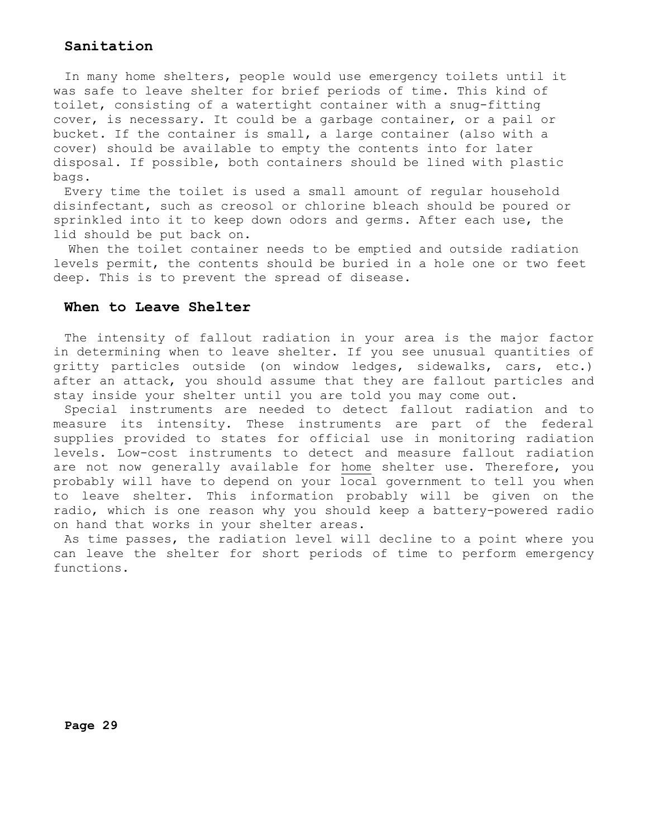#### **Sanitation**

In many home shelters, people would use emergency toilets until it was safe to leave shelter for brief periods of time. This kind of toilet, consisting of a watertight container with a snug-fitting cover, is necessary. It could be a garbage container, or a pail or bucket. If the container is small, a large container (also with a cover) should be available to empty the contents into for later disposal. If possible, both containers should be lined with plastic bags.

Every time the toilet is used a small amount of regular household disinfectant, such as creosol or chlorine bleach should be poured or sprinkled into it to keep down odors and germs. After each use, the lid should be put back on.

 When the toilet container needs to be emptied and outside radiation levels permit, the contents should be buried in a hole one or two feet deep. This is to prevent the spread of disease.

#### **When to Leave Shelter**

The intensity of fallout radiation in your area is the major factor in determining when to leave shelter. If you see unusual quantities of gritty particles outside (on window ledges, sidewalks, cars, etc.) after an attack, you should assume that they are fallout particles and stay inside your shelter until you are told you may come out.

Special instruments are needed to detect fallout radiation and to measure its intensity. These instruments are part of the federal supplies provided to states for official use in monitoring radiation levels. Low-cost instruments to detect and measure fallout radiation are not now generally available for home shelter use. Therefore, you probably will have to depend on your local government to tell you when to leave shelter. This information probably will be given on the radio, which is one reason why you should keep a battery-powered radio on hand that works in your shelter areas.

As time passes, the radiation level will decline to a point where you can leave the shelter for short periods of time to perform emergency functions.

**Page 29**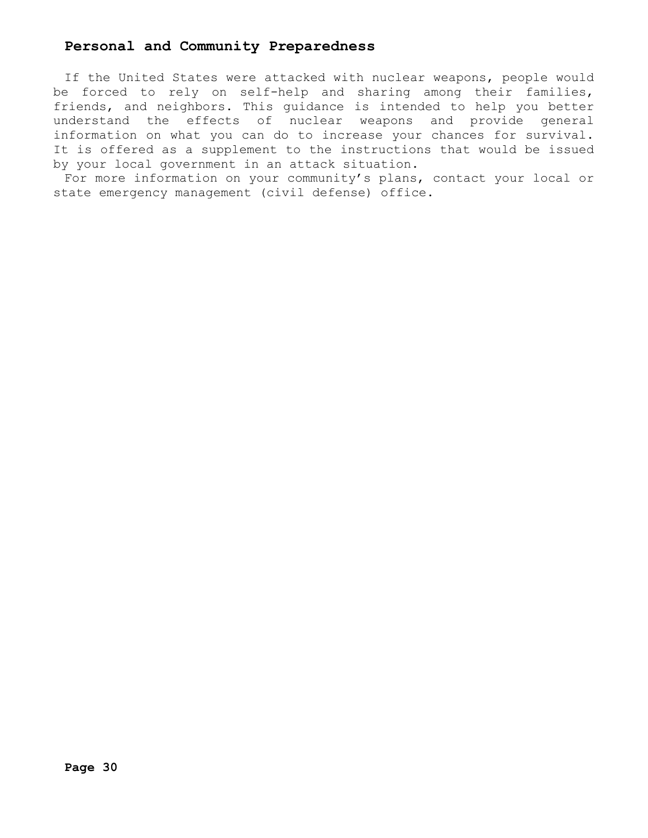### **Personal and Community Preparedness**

If the United States were attacked with nuclear weapons, people would be forced to rely on self-help and sharing among their families, friends, and neighbors. This guidance is intended to help you better understand the effects of nuclear weapons and provide general information on what you can do to increase your chances for survival. It is offered as a supplement to the instructions that would be issued by your local government in an attack situation.

For more information on your community's plans, contact your local or state emergency management (civil defense) office.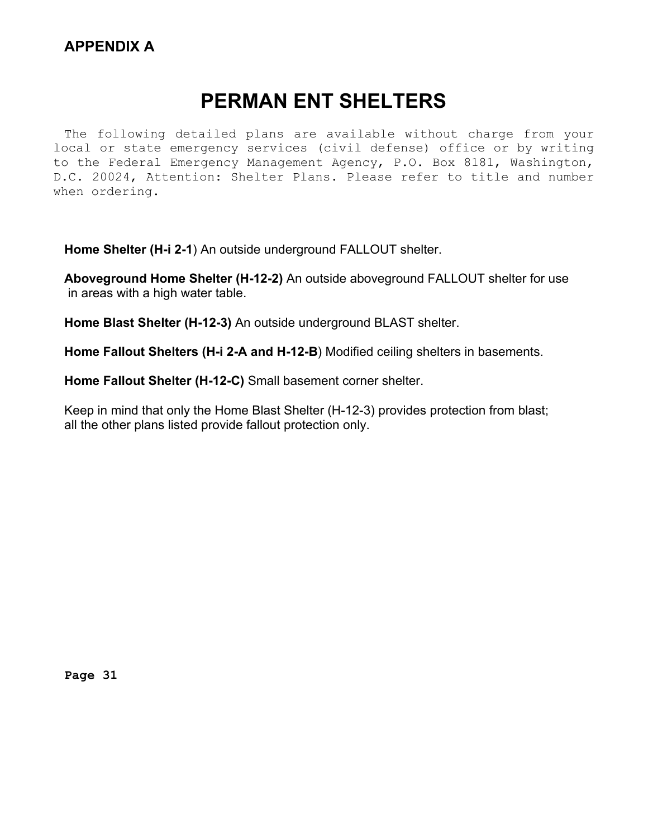# **APPENDIX A**

# **PERMAN ENT SHELTERS**

The following detailed plans are available without charge from your local or state emergency services (civil defense) office or by writing to the Federal Emergency Management Agency, P.O. Box 8181, Washington, D.C. 20024, Attention: Shelter Plans. Please refer to title and number when ordering.

**Home Shelter (H-i 2-1**) An outside underground FALLOUT shelter.

**Aboveground Home Shelter (H-12-2)** An outside aboveground FALLOUT shelter for use in areas with a high water table.

**Home Blast Shelter (H-12-3)** An outside underground BLAST shelter.

**Home Fallout Shelters (H-i 2-A and H-12-B**) Modified ceiling shelters in basements.

**Home Fallout Shelter (H-12-C)** Small basement corner shelter.

Keep in mind that only the Home Blast Shelter (H-12-3) provides protection from blast; all the other plans listed provide fallout protection only.

**Page 31**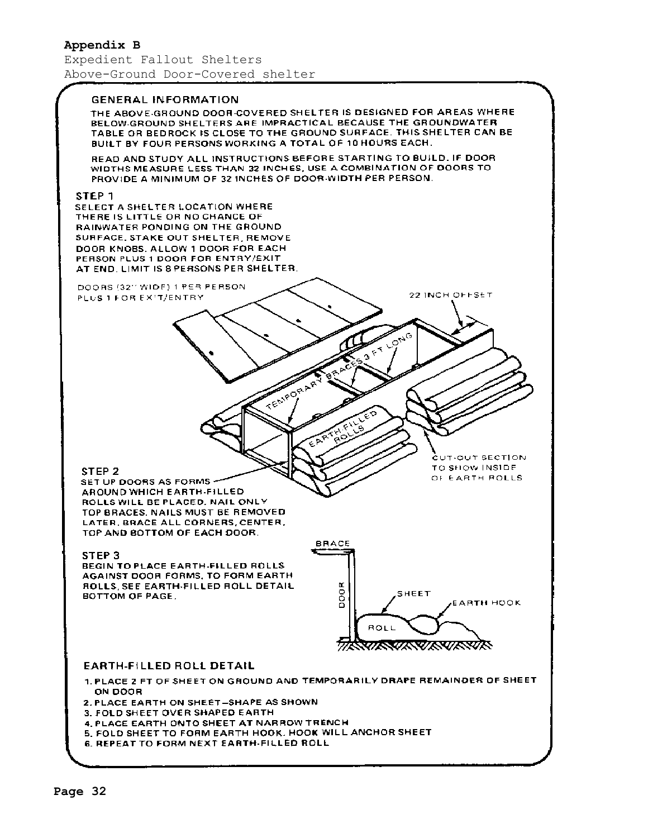#### **Appendix B**

Expedient Fallout Shelters Above-Ground Door-Covered shelter

#### **GENERAL INFORMATION**

THE ABOVE-GROUND DOOR-COVERED SHELTER IS DESIGNED FOR AREAS WHERE BELOW-GROUND SHELTERS ARE IMPRACTICAL BECAUSE THE GROUNDWATER TABLE OR BEDROCK IS CLOSE TO THE GROUND SURFACE. THIS SHELTER CAN BE BUILT BY FOUR PERSONS WORKING A TOTAL OF 10 HOURS EACH.

READ AND STUDY ALL INSTRUCTIONS BEFORE STARTING TO BUILD. IF DOOR WIDTHS MEASURE LESS THAN 32 INCHES, USE A COMBINATION OF DOORS TO PROVIDE A MINIMUM OF 32 INCHES OF DOOR WIDTH PER PERSON.

TENPORAE

۴ع

**BRACE** 

#### STEP<sub>1</sub>

SELECT A SHELTER LOCATION WHERE THERE IS LITTLE OR NO CHANCE OF RAINWATER PONDING ON THE GROUND SURFACE, STAKE OUT SHELTER, REMOVE DOOR KNOBS, ALLOW 1 DOOR FOR EACH PERSON PLUS 1 DOOR FOR ENTRY/EXIT AT END. LIMIT IS 8 PERSONS PER SHELTER.

DOORS (32" WIDE) 1 PER PERSON PLUS 1 FOR EX 'T/ENTRY

STEP<sub>2</sub>

SET UP DOORS AS FORMS -AROUND WHICH EARTH-FILLED ROLLS WILL BE PLACED. NAIL ONLY TOP BRACES. NAILS MUST BE REMOVED LATER, BRACE ALL CORNERS, CENTER, TOP AND BOTTOM OF EACH DOOR.

#### STEP<sub>3</sub>

BEGIN TO PLACE EARTH-FILLED ROLLS **AGAINST DOOR FORMS, TO FORM EARTH** ROLLS, SEE EARTH-FILLED ROLL DETAIL BOTTOM OF PAGE.



22 INCH OFFSET

**CUT-OUT SECTION** TO SHOW INSIDE

OF EARTH ROLLS

فأمليتهم

**ARY** 

#### **EARTH-FILLED ROLL DETAIL**

- 1. PLACE 2 FT OF SHEET ON GROUND AND TEMPORARILY DRAPE REMAINDER OF SHEET ON DOOR
- 2. PLACE EARTH ON SHEET-SHAPE AS SHOWN
- 3. FOLD SHEET OVER SHAPED EARTH
- 4. PLACE EARTH ONTO SHEET AT NARROW TRENCH.
- 5. FOLD SHEET TO FORM EARTH HOOK. HOOK WILL ANCHOR SHEET
- 6. REPEAT TO FORM NEXT EARTH-FILLED ROLL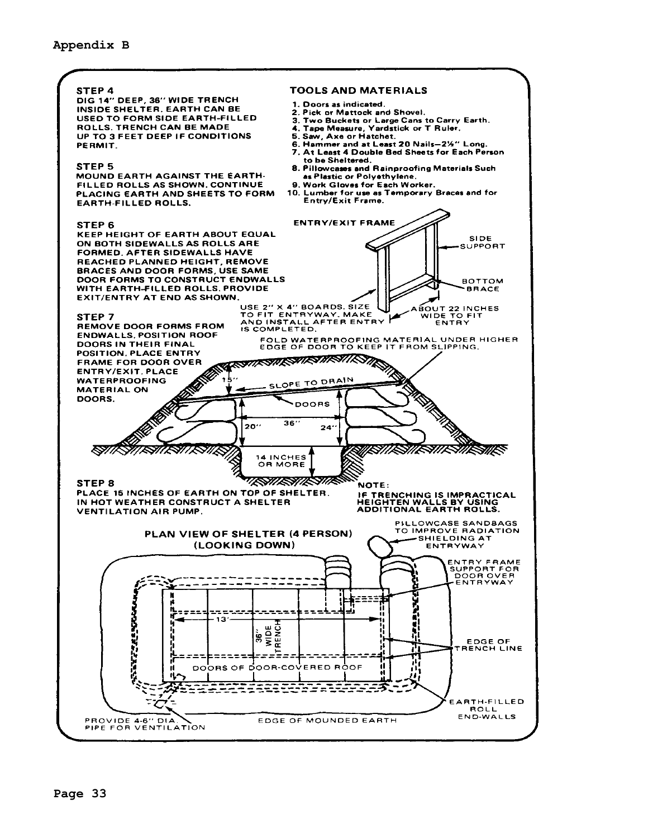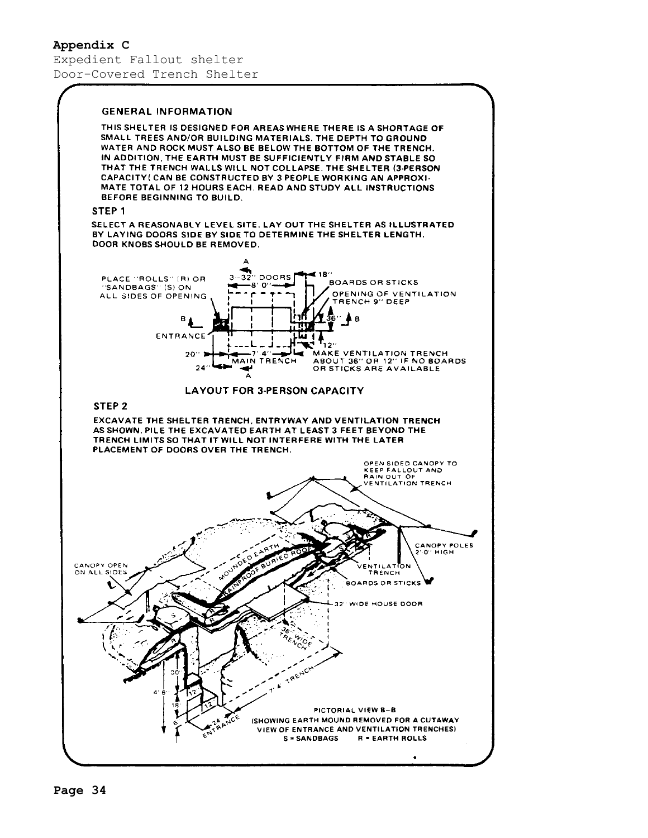#### **GENERAL INFORMATION**

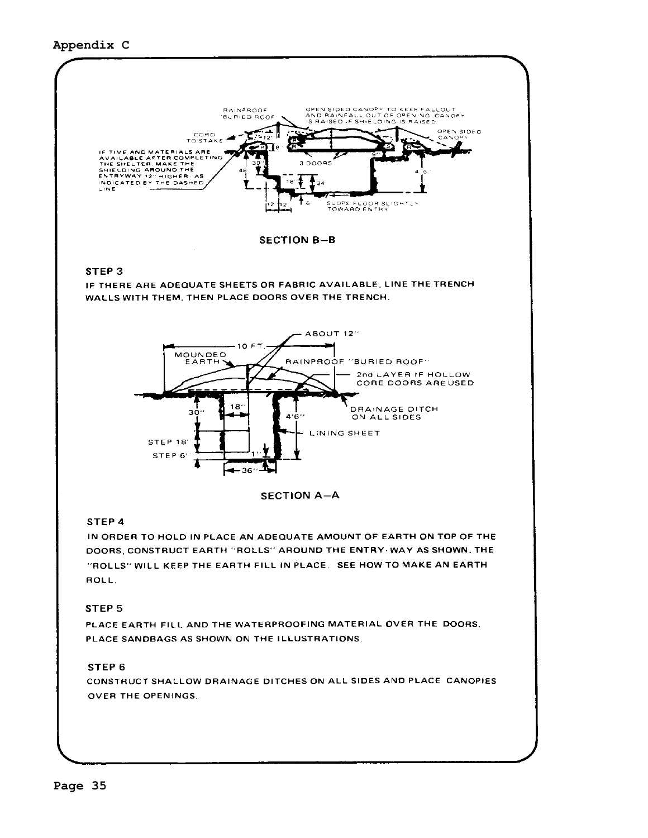

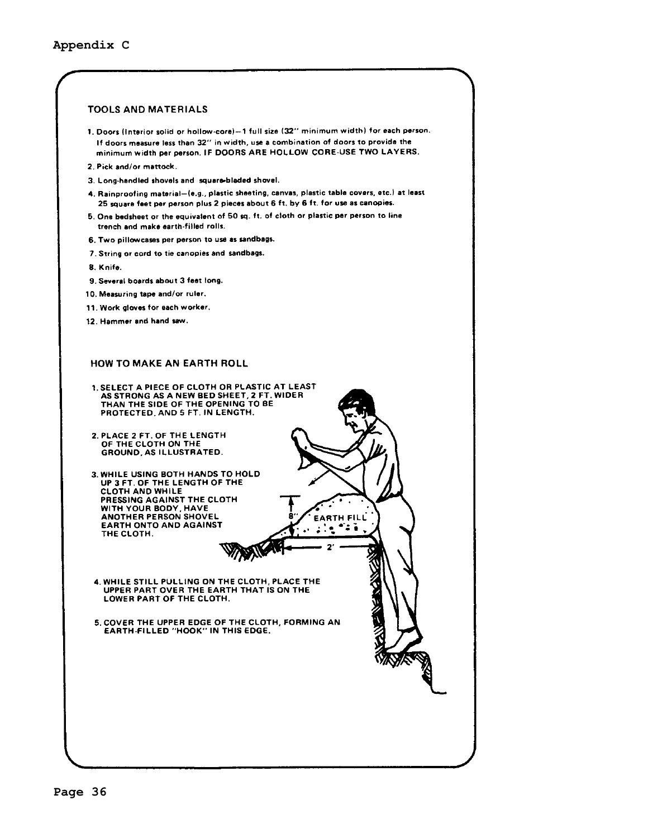# **TOOLS AND MATERIALS** 1. Doors (Interior solid or hollow-core)--1 full size (32" minimum width) for each person. If doors measure less than 32" in width, use a combination of doors to provide the minimum width per person. IF DOORS ARE HOLLOW CORE-USE TWO LAYERS. 2. Pick and/or mattock. 3. Long-handled shovels and square-bladed shovel. 4. Rainproofing material-(e.g., plastic sheeting, canvas, plastic table covers, etc.) at least 25 square feet per person plus 2 pieces about 6 ft. by 6 ft. for use as canopies. 5. One bedsheet or the equivalent of 50 sq. ft. of cloth or plastic per person to line trench and make earth-filled rolls. 6. Two pillowcases per person to use as sandbags. 7. String or cord to tie canopies and sandbags. 8. Knife. 9. Several boards about 3 feet long. 10. Measuring tape and/or ruler. 11. Work gloves for each worker. 12. Hammer and hand saw. **HOW TO MAKE AN EARTH ROLL** 1. SELECT A PIECE OF CLOTH OR PLASTIC AT LEAST AS STRONG AS A NEW BED SHEET, 2 FT. WIDER THAN THE SIDE OF THE OPENING TO BE PROTECTED, AND 5 FT. IN LENGTH. 2. PLACE 2 FT. OF THE LENGTH OF THE CLOTH ON THE GROUND, AS ILLUSTRATED. 3. WHILE USING BOTH HANDS TO HOLD UP 3 FT. OF THE LENGTH OF THE **CLOTH AND WHILE** PRESSING AGAINST THE CLOTH WITH YOUR BODY, HAVE **ANOTHER PERSON SHOVEL EARTH FILL** EARTH ONTO AND AGAINST ... ž. ÷. THE CLOTH. **SILLER** 4. WHILE STILL PULLING ON THE CLOTH, PLACE THE UPPER PART OVER THE EARTH THAT IS ON THE LOWER PART OF THE CLOTH. 5. COVER THE UPPER EDGE OF THE CLOTH, FORMING AN **EARTH-FILLED "HOOK" IN THIS EDGE.**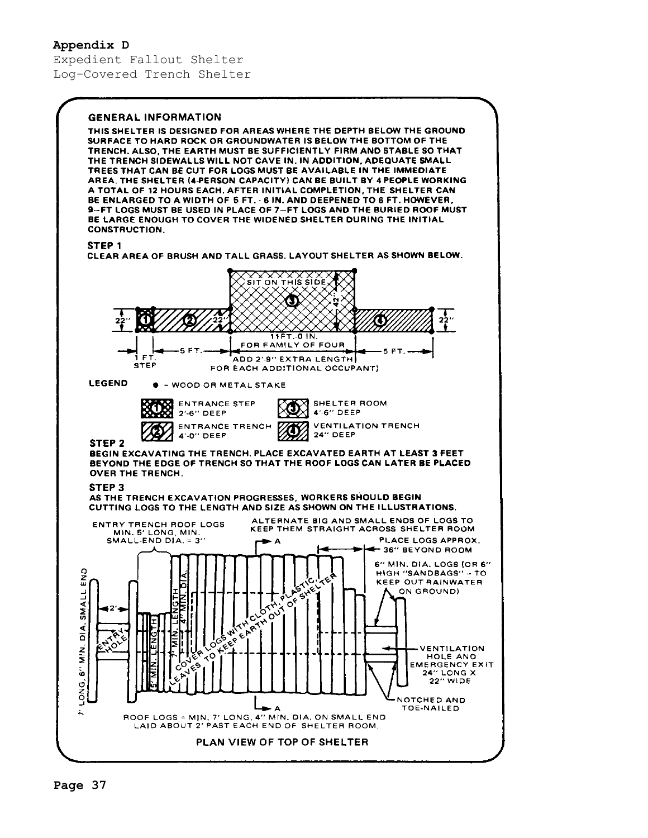Expedient Fallout Shelter Log-Covered Trench Shelter

#### **GENERAL INFORMATION**



#### STEP<sub>1</sub>

CLEAR AREA OF BRUSH AND TALL GRASS, LAYOUT SHELTER AS SHOWN BELOW.



**LEGEND**  $\bullet$  = WOOD OR METAL STAKE



O 4'-6" DEEP **VENTILATION TRENCH** ₫ 24" DEEP

**SHELTER ROOM** 

STEP<sub>2</sub> BEGIN EXCAVATING THE TRENCH. PLACE EXCAVATED EARTH AT LEAST 3 FEET BEYOND THE EDGE OF TRENCH SO THAT THE ROOF LOGS CAN LATER BE PLACED **OVER THE TRENCH.** 

#### STEP<sub>3</sub>

AS THE TRENCH EXCAVATION PROGRESSES, WORKERS SHOULD BEGIN CUTTING LOGS TO THE LENGTH AND SIZE AS SHOWN ON THE ILLUSTRATIONS.